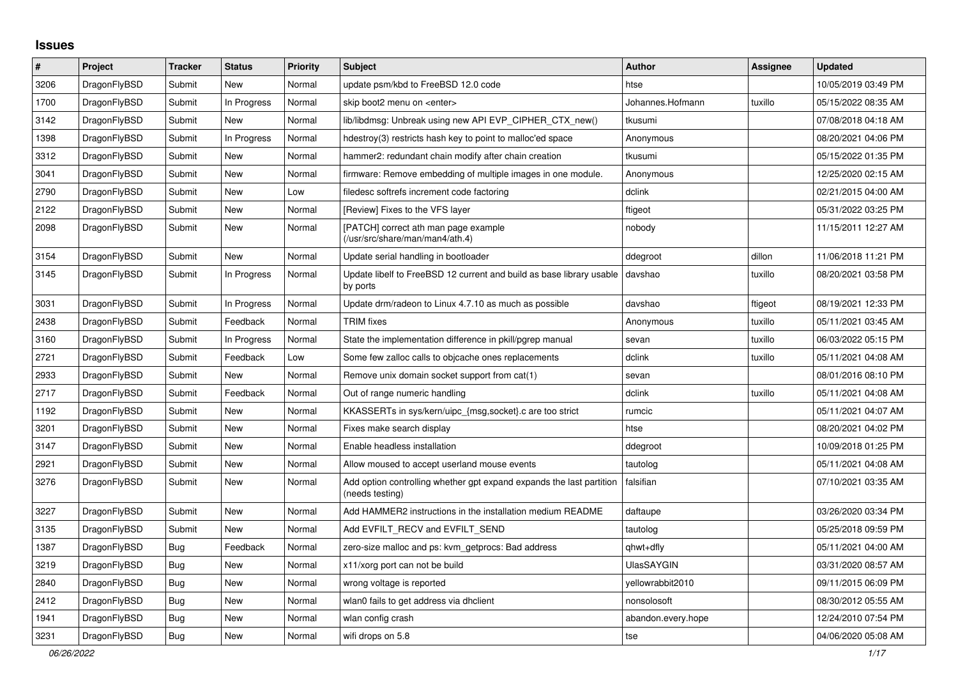## **Issues**

| $\vert$ # | Project      | <b>Tracker</b> | <b>Status</b> | <b>Priority</b> | <b>Subject</b>                                                                          | <b>Author</b>      | <b>Assignee</b> | <b>Updated</b>      |
|-----------|--------------|----------------|---------------|-----------------|-----------------------------------------------------------------------------------------|--------------------|-----------------|---------------------|
| 3206      | DragonFlyBSD | Submit         | <b>New</b>    | Normal          | update psm/kbd to FreeBSD 12.0 code                                                     | htse               |                 | 10/05/2019 03:49 PM |
| 1700      | DragonFlyBSD | Submit         | In Progress   | Normal          | skip boot2 menu on <enter></enter>                                                      | Johannes.Hofmann   | tuxillo         | 05/15/2022 08:35 AM |
| 3142      | DragonFlyBSD | Submit         | <b>New</b>    | Normal          | lib/libdmsg: Unbreak using new API EVP CIPHER CTX new()                                 | tkusumi            |                 | 07/08/2018 04:18 AM |
| 1398      | DragonFlyBSD | Submit         | In Progress   | Normal          | hdestroy(3) restricts hash key to point to malloc'ed space                              | Anonymous          |                 | 08/20/2021 04:06 PM |
| 3312      | DragonFlyBSD | Submit         | <b>New</b>    | Normal          | hammer2: redundant chain modify after chain creation                                    | tkusumi            |                 | 05/15/2022 01:35 PM |
| 3041      | DragonFlyBSD | Submit         | <b>New</b>    | Normal          | firmware: Remove embedding of multiple images in one module.                            | Anonymous          |                 | 12/25/2020 02:15 AM |
| 2790      | DragonFlyBSD | Submit         | <b>New</b>    | Low             | filedesc softrefs increment code factoring                                              | dclink             |                 | 02/21/2015 04:00 AM |
| 2122      | DragonFlyBSD | Submit         | <b>New</b>    | Normal          | [Review] Fixes to the VFS layer                                                         | ftigeot            |                 | 05/31/2022 03:25 PM |
| 2098      | DragonFlyBSD | Submit         | <b>New</b>    | Normal          | [PATCH] correct ath man page example<br>(/usr/src/share/man/man4/ath.4)                 | nobody             |                 | 11/15/2011 12:27 AM |
| 3154      | DragonFlyBSD | Submit         | <b>New</b>    | Normal          | Update serial handling in bootloader                                                    | ddegroot           | dillon          | 11/06/2018 11:21 PM |
| 3145      | DragonFlyBSD | Submit         | In Progress   | Normal          | Update libelf to FreeBSD 12 current and build as base library usable<br>by ports        | davshao            | tuxillo         | 08/20/2021 03:58 PM |
| 3031      | DragonFlyBSD | Submit         | In Progress   | Normal          | Update drm/radeon to Linux 4.7.10 as much as possible                                   | davshao            | ftigeot         | 08/19/2021 12:33 PM |
| 2438      | DragonFlyBSD | Submit         | Feedback      | Normal          | <b>TRIM</b> fixes                                                                       | Anonymous          | tuxillo         | 05/11/2021 03:45 AM |
| 3160      | DragonFlyBSD | Submit         | In Progress   | Normal          | State the implementation difference in pkill/pgrep manual                               | sevan              | tuxillo         | 06/03/2022 05:15 PM |
| 2721      | DragonFlyBSD | Submit         | Feedback      | Low             | Some few zalloc calls to objcache ones replacements                                     | dclink             | tuxillo         | 05/11/2021 04:08 AM |
| 2933      | DragonFlyBSD | Submit         | <b>New</b>    | Normal          | Remove unix domain socket support from cat(1)                                           | sevan              |                 | 08/01/2016 08:10 PM |
| 2717      | DragonFlyBSD | Submit         | Feedback      | Normal          | Out of range numeric handling                                                           | dclink             | tuxillo         | 05/11/2021 04:08 AM |
| 1192      | DragonFlyBSD | Submit         | <b>New</b>    | Normal          | KKASSERTs in sys/kern/uipc_{msg,socket}.c are too strict                                | rumcic             |                 | 05/11/2021 04:07 AM |
| 3201      | DragonFlyBSD | Submit         | New           | Normal          | Fixes make search display                                                               | htse               |                 | 08/20/2021 04:02 PM |
| 3147      | DragonFlyBSD | Submit         | <b>New</b>    | Normal          | Enable headless installation                                                            | ddegroot           |                 | 10/09/2018 01:25 PM |
| 2921      | DragonFlyBSD | Submit         | <b>New</b>    | Normal          | Allow moused to accept userland mouse events                                            | tautolog           |                 | 05/11/2021 04:08 AM |
| 3276      | DragonFlyBSD | Submit         | <b>New</b>    | Normal          | Add option controlling whether gpt expand expands the last partition<br>(needs testing) | falsifian          |                 | 07/10/2021 03:35 AM |
| 3227      | DragonFlyBSD | Submit         | <b>New</b>    | Normal          | Add HAMMER2 instructions in the installation medium README                              | daftaupe           |                 | 03/26/2020 03:34 PM |
| 3135      | DragonFlyBSD | Submit         | <b>New</b>    | Normal          | Add EVFILT RECV and EVFILT SEND                                                         | tautolog           |                 | 05/25/2018 09:59 PM |
| 1387      | DragonFlyBSD | <b>Bug</b>     | Feedback      | Normal          | zero-size malloc and ps: kvm_getprocs: Bad address                                      | qhwt+dfly          |                 | 05/11/2021 04:00 AM |
| 3219      | DragonFlyBSD | <b>Bug</b>     | <b>New</b>    | Normal          | x11/xorg port can not be build                                                          | <b>UlasSAYGIN</b>  |                 | 03/31/2020 08:57 AM |
| 2840      | DragonFlyBSD | <b>Bug</b>     | <b>New</b>    | Normal          | wrong voltage is reported                                                               | yellowrabbit2010   |                 | 09/11/2015 06:09 PM |
| 2412      | DragonFlyBSD | Bug            | <b>New</b>    | Normal          | wlan0 fails to get address via dhclient                                                 | nonsolosoft        |                 | 08/30/2012 05:55 AM |
| 1941      | DragonFlyBSD | <b>Bug</b>     | <b>New</b>    | Normal          | wlan config crash                                                                       | abandon.every.hope |                 | 12/24/2010 07:54 PM |
| 3231      | DragonFlyBSD | Bug            | New           | Normal          | wifi drops on 5.8                                                                       | tse                |                 | 04/06/2020 05:08 AM |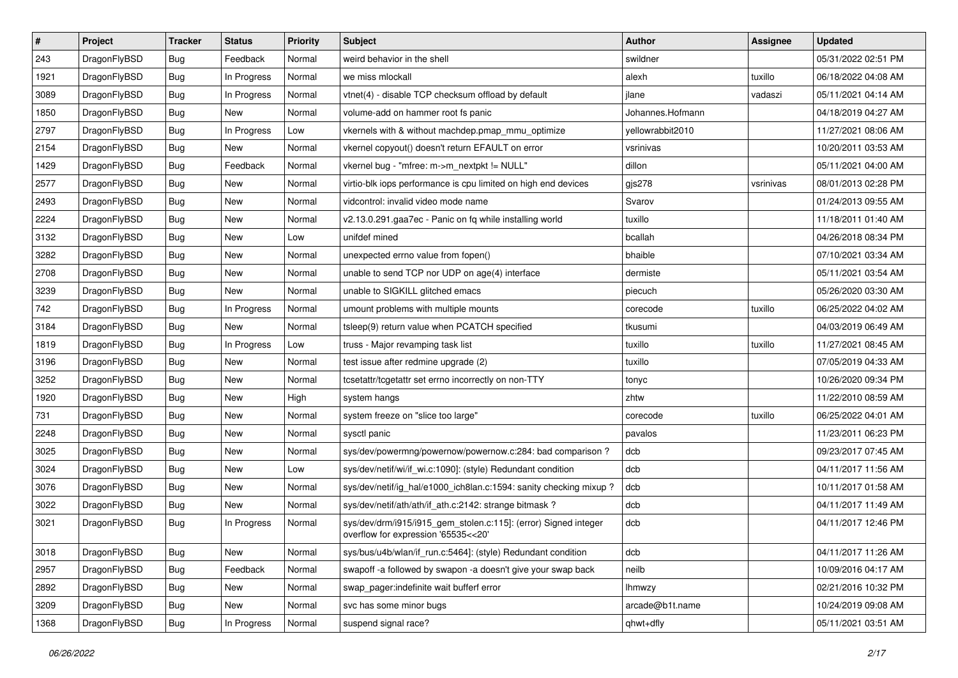| $\vert$ # | Project      | <b>Tracker</b> | <b>Status</b> | <b>Priority</b> | <b>Subject</b>                                                                                         | <b>Author</b>    | Assignee  | <b>Updated</b>      |
|-----------|--------------|----------------|---------------|-----------------|--------------------------------------------------------------------------------------------------------|------------------|-----------|---------------------|
| 243       | DragonFlyBSD | Bug            | Feedback      | Normal          | weird behavior in the shell                                                                            | swildner         |           | 05/31/2022 02:51 PM |
| 1921      | DragonFlyBSD | Bug            | In Progress   | Normal          | we miss mlockall                                                                                       | alexh            | tuxillo   | 06/18/2022 04:08 AM |
| 3089      | DragonFlyBSD | Bug            | In Progress   | Normal          | vtnet(4) - disable TCP checksum offload by default                                                     | jlane            | vadaszi   | 05/11/2021 04:14 AM |
| 1850      | DragonFlyBSD | Bug            | New           | Normal          | volume-add on hammer root fs panic                                                                     | Johannes.Hofmann |           | 04/18/2019 04:27 AM |
| 2797      | DragonFlyBSD | Bug            | In Progress   | Low             | vkernels with & without machdep.pmap_mmu_optimize                                                      | yellowrabbit2010 |           | 11/27/2021 08:06 AM |
| 2154      | DragonFlyBSD | <b>Bug</b>     | New           | Normal          | vkernel copyout() doesn't return EFAULT on error                                                       | vsrinivas        |           | 10/20/2011 03:53 AM |
| 1429      | DragonFlyBSD | Bug            | Feedback      | Normal          | vkernel bug - "mfree: m->m_nextpkt != NULL"                                                            | dillon           |           | 05/11/2021 04:00 AM |
| 2577      | DragonFlyBSD | Bug            | New           | Normal          | virtio-blk iops performance is cpu limited on high end devices                                         | gjs278           | vsrinivas | 08/01/2013 02:28 PM |
| 2493      | DragonFlyBSD | Bug            | New           | Normal          | vidcontrol: invalid video mode name                                                                    | Svarov           |           | 01/24/2013 09:55 AM |
| 2224      | DragonFlyBSD | Bug            | New           | Normal          | v2.13.0.291.gaa7ec - Panic on fq while installing world                                                | tuxillo          |           | 11/18/2011 01:40 AM |
| 3132      | DragonFlyBSD | Bug            | New           | Low             | unifdef mined                                                                                          | bcallah          |           | 04/26/2018 08:34 PM |
| 3282      | DragonFlyBSD | Bug            | New           | Normal          | unexpected errno value from fopen()                                                                    | bhaible          |           | 07/10/2021 03:34 AM |
| 2708      | DragonFlyBSD | Bug            | New           | Normal          | unable to send TCP nor UDP on age(4) interface                                                         | dermiste         |           | 05/11/2021 03:54 AM |
| 3239      | DragonFlyBSD | Bug            | New           | Normal          | unable to SIGKILL glitched emacs                                                                       | piecuch          |           | 05/26/2020 03:30 AM |
| 742       | DragonFlyBSD | Bug            | In Progress   | Normal          | umount problems with multiple mounts                                                                   | corecode         | tuxillo   | 06/25/2022 04:02 AM |
| 3184      | DragonFlyBSD | <b>Bug</b>     | New           | Normal          | tsleep(9) return value when PCATCH specified                                                           | tkusumi          |           | 04/03/2019 06:49 AM |
| 1819      | DragonFlyBSD | <b>Bug</b>     | In Progress   | Low             | truss - Major revamping task list                                                                      | tuxillo          | tuxillo   | 11/27/2021 08:45 AM |
| 3196      | DragonFlyBSD | Bug            | New           | Normal          | test issue after redmine upgrade (2)                                                                   | tuxillo          |           | 07/05/2019 04:33 AM |
| 3252      | DragonFlyBSD | <b>Bug</b>     | New           | Normal          | tcsetattr/tcgetattr set errno incorrectly on non-TTY                                                   | tonyc            |           | 10/26/2020 09:34 PM |
| 1920      | DragonFlyBSD | <b>Bug</b>     | <b>New</b>    | High            | system hangs                                                                                           | zhtw             |           | 11/22/2010 08:59 AM |
| 731       | DragonFlyBSD | <b>Bug</b>     | New           | Normal          | system freeze on "slice too large"                                                                     | corecode         | tuxillo   | 06/25/2022 04:01 AM |
| 2248      | DragonFlyBSD | <b>Bug</b>     | New           | Normal          | sysctl panic                                                                                           | pavalos          |           | 11/23/2011 06:23 PM |
| 3025      | DragonFlyBSD | Bug            | <b>New</b>    | Normal          | sys/dev/powermng/powernow/powernow.c:284: bad comparison?                                              | dcb              |           | 09/23/2017 07:45 AM |
| 3024      | DragonFlyBSD | <b>Bug</b>     | New           | Low             | sys/dev/netif/wi/if wi.c:1090]: (style) Redundant condition                                            | dcb              |           | 04/11/2017 11:56 AM |
| 3076      | DragonFlyBSD | <b>Bug</b>     | New           | Normal          | sys/dev/netif/ig hal/e1000 ich8lan.c:1594: sanity checking mixup?                                      | dcb              |           | 10/11/2017 01:58 AM |
| 3022      | DragonFlyBSD | Bug            | New           | Normal          | sys/dev/netif/ath/ath/if ath.c:2142: strange bitmask?                                                  | dcb              |           | 04/11/2017 11:49 AM |
| 3021      | DragonFlyBSD | <b>Bug</b>     | In Progress   | Normal          | sys/dev/drm/i915/i915_gem_stolen.c:115]: (error) Signed integer<br>overflow for expression '65535<<20' | dcb              |           | 04/11/2017 12:46 PM |
| 3018      | DragonFlyBSD | <b>Bug</b>     | New           | Normal          | sys/bus/u4b/wlan/if_run.c:5464]: (style) Redundant condition                                           | dcb              |           | 04/11/2017 11:26 AM |
| 2957      | DragonFlyBSD | <b>Bug</b>     | Feedback      | Normal          | swapoff -a followed by swapon -a doesn't give your swap back                                           | neilb            |           | 10/09/2016 04:17 AM |
| 2892      | DragonFlyBSD | Bug            | New           | Normal          | swap_pager:indefinite wait bufferf error                                                               | lhmwzy           |           | 02/21/2016 10:32 PM |
| 3209      | DragonFlyBSD | Bug            | New           | Normal          | svc has some minor bugs                                                                                | arcade@b1t.name  |           | 10/24/2019 09:08 AM |
| 1368      | DragonFlyBSD | <b>Bug</b>     | In Progress   | Normal          | suspend signal race?                                                                                   | qhwt+dfly        |           | 05/11/2021 03:51 AM |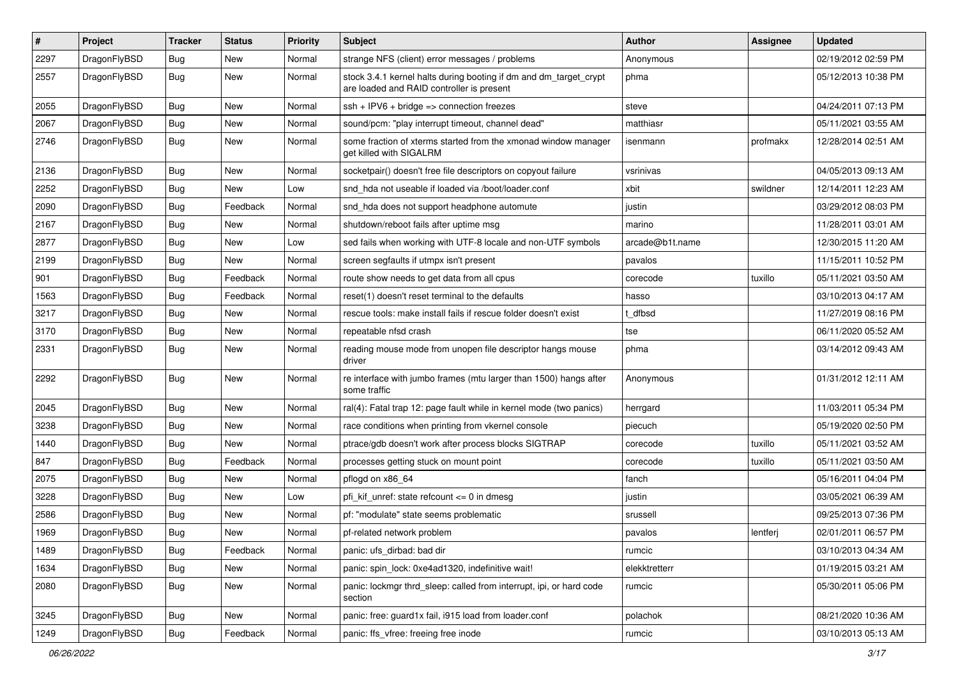| $\pmb{\#}$ | Project      | <b>Tracker</b> | <b>Status</b> | <b>Priority</b> | Subject                                                                                                        | <b>Author</b>   | Assignee | <b>Updated</b>      |
|------------|--------------|----------------|---------------|-----------------|----------------------------------------------------------------------------------------------------------------|-----------------|----------|---------------------|
| 2297       | DragonFlyBSD | Bug            | <b>New</b>    | Normal          | strange NFS (client) error messages / problems                                                                 | Anonymous       |          | 02/19/2012 02:59 PM |
| 2557       | DragonFlyBSD | Bug            | <b>New</b>    | Normal          | stock 3.4.1 kernel halts during booting if dm and dm_target_crypt<br>are loaded and RAID controller is present | phma            |          | 05/12/2013 10:38 PM |
| 2055       | DragonFlyBSD | Bug            | <b>New</b>    | Normal          | $ssh + IPV6 + bridge \Rightarrow connection freezes$                                                           | steve           |          | 04/24/2011 07:13 PM |
| 2067       | DragonFlyBSD | Bug            | New           | Normal          | sound/pcm: "play interrupt timeout, channel dead"                                                              | matthiasr       |          | 05/11/2021 03:55 AM |
| 2746       | DragonFlyBSD | Bug            | New           | Normal          | some fraction of xterms started from the xmonad window manager<br>get killed with SIGALRM                      | isenmann        | profmakx | 12/28/2014 02:51 AM |
| 2136       | DragonFlyBSD | Bug            | <b>New</b>    | Normal          | socketpair() doesn't free file descriptors on copyout failure                                                  | vsrinivas       |          | 04/05/2013 09:13 AM |
| 2252       | DragonFlyBSD | Bug            | New           | Low             | snd hda not useable if loaded via /boot/loader.conf                                                            | xbit            | swildner | 12/14/2011 12:23 AM |
| 2090       | DragonFlyBSD | Bug            | Feedback      | Normal          | snd_hda does not support headphone automute                                                                    | justin          |          | 03/29/2012 08:03 PM |
| 2167       | DragonFlyBSD | Bug            | <b>New</b>    | Normal          | shutdown/reboot fails after uptime msg                                                                         | marino          |          | 11/28/2011 03:01 AM |
| 2877       | DragonFlyBSD | Bug            | New           | Low             | sed fails when working with UTF-8 locale and non-UTF symbols                                                   | arcade@b1t.name |          | 12/30/2015 11:20 AM |
| 2199       | DragonFlyBSD | Bug            | <b>New</b>    | Normal          | screen segfaults if utmpx isn't present                                                                        | pavalos         |          | 11/15/2011 10:52 PM |
| 901        | DragonFlyBSD | Bug            | Feedback      | Normal          | route show needs to get data from all cpus                                                                     | corecode        | tuxillo  | 05/11/2021 03:50 AM |
| 1563       | DragonFlyBSD | Bug            | Feedback      | Normal          | reset(1) doesn't reset terminal to the defaults                                                                | hasso           |          | 03/10/2013 04:17 AM |
| 3217       | DragonFlyBSD | Bug            | <b>New</b>    | Normal          | rescue tools: make install fails if rescue folder doesn't exist                                                | t dfbsd         |          | 11/27/2019 08:16 PM |
| 3170       | DragonFlyBSD | Bug            | New           | Normal          | repeatable nfsd crash                                                                                          | tse             |          | 06/11/2020 05:52 AM |
| 2331       | DragonFlyBSD | Bug            | New           | Normal          | reading mouse mode from unopen file descriptor hangs mouse<br>driver                                           | phma            |          | 03/14/2012 09:43 AM |
| 2292       | DragonFlyBSD | Bug            | New           | Normal          | re interface with jumbo frames (mtu larger than 1500) hangs after<br>some traffic                              | Anonymous       |          | 01/31/2012 12:11 AM |
| 2045       | DragonFlyBSD | Bug            | New           | Normal          | ral(4): Fatal trap 12: page fault while in kernel mode (two panics)                                            | herrgard        |          | 11/03/2011 05:34 PM |
| 3238       | DragonFlyBSD | Bug            | New           | Normal          | race conditions when printing from vkernel console                                                             | piecuch         |          | 05/19/2020 02:50 PM |
| 1440       | DragonFlyBSD | Bug            | New           | Normal          | ptrace/gdb doesn't work after process blocks SIGTRAP                                                           | corecode        | tuxillo  | 05/11/2021 03:52 AM |
| 847        | DragonFlyBSD | Bug            | Feedback      | Normal          | processes getting stuck on mount point                                                                         | corecode        | tuxillo  | 05/11/2021 03:50 AM |
| 2075       | DragonFlyBSD | Bug            | <b>New</b>    | Normal          | pflogd on x86 64                                                                                               | fanch           |          | 05/16/2011 04:04 PM |
| 3228       | DragonFlyBSD | Bug            | New           | Low             | pfi kif unref: state refcount $\leq$ 0 in dmesq                                                                | justin          |          | 03/05/2021 06:39 AM |
| 2586       | DragonFlyBSD | Bug            | <b>New</b>    | Normal          | pf: "modulate" state seems problematic                                                                         | srussell        |          | 09/25/2013 07:36 PM |
| 1969       | DragonFlyBSD | Bug            | <b>New</b>    | Normal          | pf-related network problem                                                                                     | pavalos         | lentferj | 02/01/2011 06:57 PM |
| 1489       | DragonFlyBSD | <b>Bug</b>     | Feedback      | Normal          | panic: ufs dirbad: bad dir                                                                                     | rumcic          |          | 03/10/2013 04:34 AM |
| 1634       | DragonFlyBSD | Bug            | New           | Normal          | panic: spin lock: 0xe4ad1320, indefinitive wait!                                                               | elekktretterr   |          | 01/19/2015 03:21 AM |
| 2080       | DragonFlyBSD | <b>Bug</b>     | New           | Normal          | panic: lockmgr thrd sleep: called from interrupt, ipi, or hard code<br>section                                 | rumcic          |          | 05/30/2011 05:06 PM |
| 3245       | DragonFlyBSD | Bug            | New           | Normal          | panic: free: guard1x fail, i915 load from loader.conf                                                          | polachok        |          | 08/21/2020 10:36 AM |
| 1249       | DragonFlyBSD | Bug            | Feedback      | Normal          | panic: ffs vfree: freeing free inode                                                                           | rumcic          |          | 03/10/2013 05:13 AM |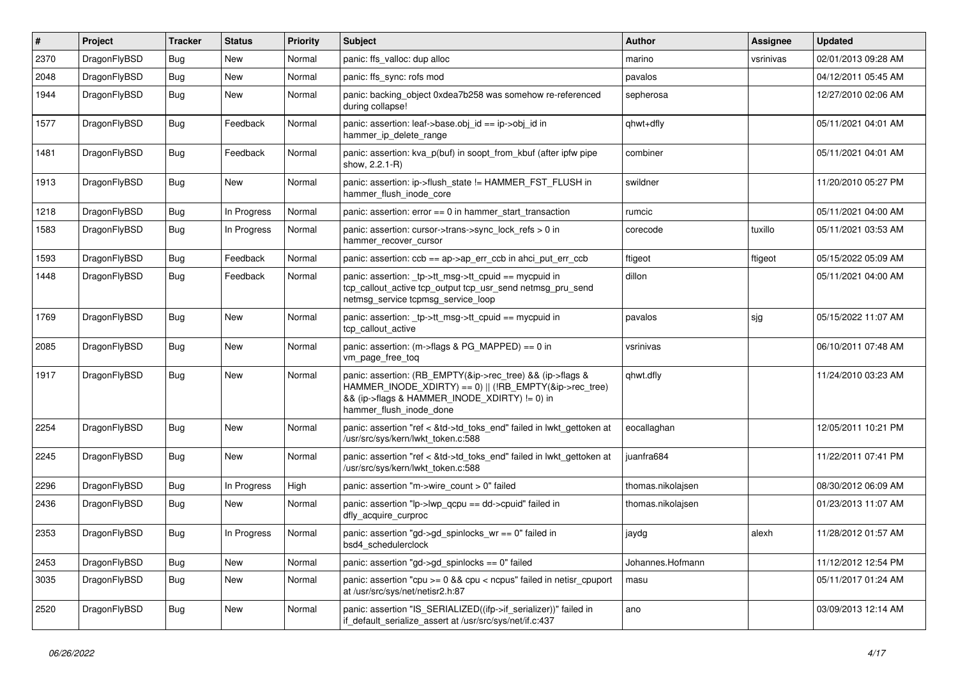| $\vert$ # | Project      | <b>Tracker</b> | <b>Status</b> | <b>Priority</b> | <b>Subject</b>                                                                                                                                                                                    | <b>Author</b>     | Assignee  | <b>Updated</b>      |
|-----------|--------------|----------------|---------------|-----------------|---------------------------------------------------------------------------------------------------------------------------------------------------------------------------------------------------|-------------------|-----------|---------------------|
| 2370      | DragonFlyBSD | <b>Bug</b>     | <b>New</b>    | Normal          | panic: ffs_valloc: dup alloc                                                                                                                                                                      | marino            | vsrinivas | 02/01/2013 09:28 AM |
| 2048      | DragonFlyBSD | <b>Bug</b>     | <b>New</b>    | Normal          | panic: ffs sync: rofs mod                                                                                                                                                                         | pavalos           |           | 04/12/2011 05:45 AM |
| 1944      | DragonFlyBSD | Bug            | <b>New</b>    | Normal          | panic: backing object 0xdea7b258 was somehow re-referenced<br>during collapse!                                                                                                                    | sepherosa         |           | 12/27/2010 02:06 AM |
| 1577      | DragonFlyBSD | <b>Bug</b>     | Feedback      | Normal          | panic: assertion: leaf->base.obj_id == ip->obj_id in<br>hammer_ip_delete_range                                                                                                                    | qhwt+dfly         |           | 05/11/2021 04:01 AM |
| 1481      | DragonFlyBSD | <b>Bug</b>     | Feedback      | Normal          | panic: assertion: kva p(buf) in soopt from kbuf (after ipfw pipe<br>show, 2.2.1-R)                                                                                                                | combiner          |           | 05/11/2021 04:01 AM |
| 1913      | DragonFlyBSD | <b>Bug</b>     | New           | Normal          | panic: assertion: ip->flush_state != HAMMER_FST_FLUSH in<br>hammer flush inode core                                                                                                               | swildner          |           | 11/20/2010 05:27 PM |
| 1218      | DragonFlyBSD | <b>Bug</b>     | In Progress   | Normal          | panic: assertion: $error == 0$ in hammer start transaction                                                                                                                                        | rumcic            |           | 05/11/2021 04:00 AM |
| 1583      | DragonFlyBSD | <b>Bug</b>     | In Progress   | Normal          | panic: assertion: cursor->trans->sync_lock_refs > 0 in<br>hammer recover cursor                                                                                                                   | corecode          | tuxillo   | 05/11/2021 03:53 AM |
| 1593      | DragonFlyBSD | Bug            | Feedback      | Normal          | panic: assertion: $ccb == ap \rightarrow ap$ err $ccb$ in ahci put err $ccb$                                                                                                                      | ftigeot           | ftigeot   | 05/15/2022 05:09 AM |
| 1448      | DragonFlyBSD | Bug            | Feedback      | Normal          | panic: assertion: tp->tt_msg->tt_cpuid == mycpuid in<br>tcp callout active tcp output tcp usr send netmsg pru send<br>netmsg service tcpmsg service loop                                          | dillon            |           | 05/11/2021 04:00 AM |
| 1769      | DragonFlyBSD | Bug            | <b>New</b>    | Normal          | panic: assertion: _tp->tt_msg->tt_cpuid == mycpuid in<br>tcp_callout_active                                                                                                                       | pavalos           | sjg       | 05/15/2022 11:07 AM |
| 2085      | DragonFlyBSD | <b>Bug</b>     | <b>New</b>    | Normal          | panic: assertion: $(m\rightarrow$ flags & PG MAPPED) == 0 in<br>vm_page_free_toq                                                                                                                  | vsrinivas         |           | 06/10/2011 07:48 AM |
| 1917      | DragonFlyBSD | <b>Bug</b>     | <b>New</b>    | Normal          | panic: assertion: (RB_EMPTY(&ip->rec_tree) && (ip->flags &<br>HAMMER_INODE_XDIRTY) == 0)    (!RB_EMPTY(&ip->rec_tree)<br>&& (ip->flags & HAMMER_INODE_XDIRTY) != 0) in<br>hammer_flush_inode_done | qhwt.dfly         |           | 11/24/2010 03:23 AM |
| 2254      | DragonFlyBSD | Bug            | <b>New</b>    | Normal          | panic: assertion "ref < &td->td_toks_end" failed in lwkt_gettoken at<br>/usr/src/sys/kern/lwkt_token.c:588                                                                                        | eocallaghan       |           | 12/05/2011 10:21 PM |
| 2245      | DragonFlyBSD | <b>Bug</b>     | <b>New</b>    | Normal          | panic: assertion "ref < &td->td toks end" failed in lwkt gettoken at<br>/usr/src/sys/kern/lwkt_token.c:588                                                                                        | juanfra684        |           | 11/22/2011 07:41 PM |
| 2296      | DragonFlyBSD | Bug            | In Progress   | High            | panic: assertion "m->wire count > 0" failed                                                                                                                                                       | thomas.nikolajsen |           | 08/30/2012 06:09 AM |
| 2436      | DragonFlyBSD | Bug            | New           | Normal          | panic: assertion "lp->lwp qcpu == dd->cpuid" failed in<br>dfly acquire curproc                                                                                                                    | thomas.nikolaisen |           | 01/23/2013 11:07 AM |
| 2353      | DragonFlyBSD | Bug            | In Progress   | Normal          | panic: assertion "gd->gd spinlocks $wr == 0$ " failed in<br>bsd4_schedulerclock                                                                                                                   | jaydg             | alexh     | 11/28/2012 01:57 AM |
| 2453      | DragonFlyBSD | <b>Bug</b>     | <b>New</b>    | Normal          | panic: assertion "gd->gd spinlocks == $0$ " failed                                                                                                                                                | Johannes.Hofmann  |           | 11/12/2012 12:54 PM |
| 3035      | DragonFlyBSD | <b>Bug</b>     | New           | Normal          | panic: assertion "cpu $>= 0$ && cpu < ncpus" failed in netisr cpuport<br>at /usr/src/sys/net/netisr2.h:87                                                                                         | masu              |           | 05/11/2017 01:24 AM |
| 2520      | DragonFlyBSD | <b>Bug</b>     | <b>New</b>    | Normal          | panic: assertion "IS_SERIALIZED((ifp->if_serializer))" failed in<br>if_default_serialize_assert at /usr/src/sys/net/if.c:437                                                                      | ano               |           | 03/09/2013 12:14 AM |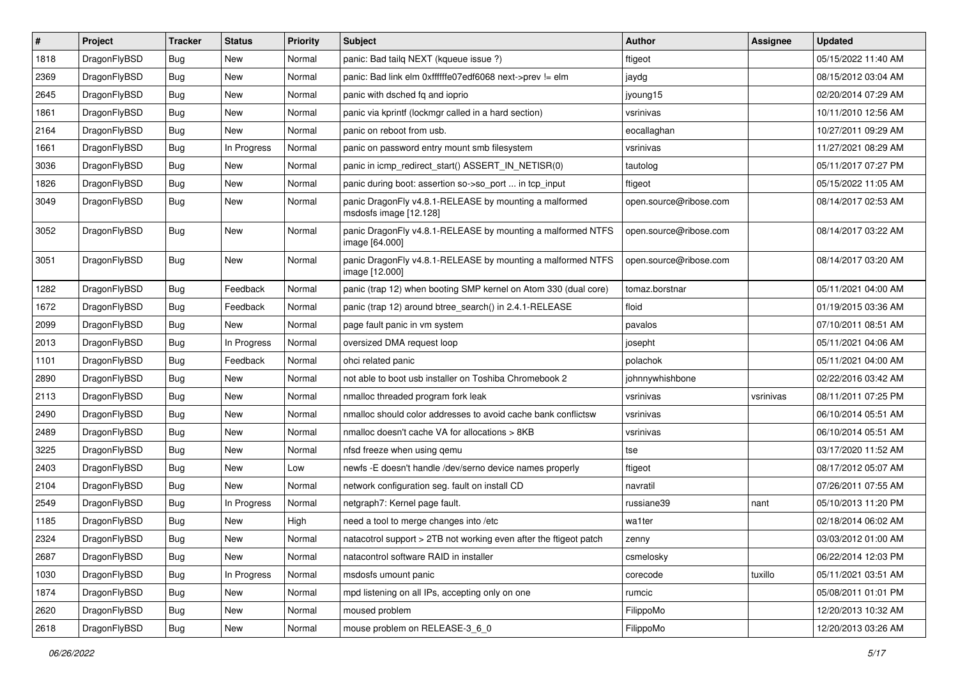| $\sharp$ | Project      | <b>Tracker</b> | <b>Status</b> | <b>Priority</b> | <b>Subject</b>                                                                   | <b>Author</b>          | Assignee  | <b>Updated</b>      |
|----------|--------------|----------------|---------------|-----------------|----------------------------------------------------------------------------------|------------------------|-----------|---------------------|
| 1818     | DragonFlyBSD | <b>Bug</b>     | <b>New</b>    | Normal          | panic: Bad tailq NEXT (kqueue issue ?)                                           | ftigeot                |           | 05/15/2022 11:40 AM |
| 2369     | DragonFlyBSD | <b>Bug</b>     | <b>New</b>    | Normal          | panic: Bad link elm 0xffffffe07edf6068 next->prev != elm                         | jaydg                  |           | 08/15/2012 03:04 AM |
| 2645     | DragonFlyBSD | <b>Bug</b>     | New           | Normal          | panic with dsched fq and ioprio                                                  | jyoung15               |           | 02/20/2014 07:29 AM |
| 1861     | DragonFlyBSD | <b>Bug</b>     | New           | Normal          | panic via kprintf (lockmgr called in a hard section)                             | vsrinivas              |           | 10/11/2010 12:56 AM |
| 2164     | DragonFlyBSD | <b>Bug</b>     | <b>New</b>    | Normal          | panic on reboot from usb.                                                        | eocallaghan            |           | 10/27/2011 09:29 AM |
| 1661     | DragonFlyBSD | <b>Bug</b>     | In Progress   | Normal          | panic on password entry mount smb filesystem                                     | vsrinivas              |           | 11/27/2021 08:29 AM |
| 3036     | DragonFlyBSD | <b>Bug</b>     | <b>New</b>    | Normal          | panic in icmp_redirect_start() ASSERT_IN_NETISR(0)                               | tautolog               |           | 05/11/2017 07:27 PM |
| 1826     | DragonFlyBSD | <b>Bug</b>     | New           | Normal          | panic during boot: assertion so->so_port  in tcp_input                           | ftigeot                |           | 05/15/2022 11:05 AM |
| 3049     | DragonFlyBSD | <b>Bug</b>     | New           | Normal          | panic DragonFly v4.8.1-RELEASE by mounting a malformed<br>msdosfs image [12.128] | open.source@ribose.com |           | 08/14/2017 02:53 AM |
| 3052     | DragonFlyBSD | <b>Bug</b>     | New           | Normal          | panic DragonFly v4.8.1-RELEASE by mounting a malformed NTFS<br>image [64.000]    | open.source@ribose.com |           | 08/14/2017 03:22 AM |
| 3051     | DragonFlyBSD | <b>Bug</b>     | New           | Normal          | panic DragonFly v4.8.1-RELEASE by mounting a malformed NTFS<br>image [12.000]    | open.source@ribose.com |           | 08/14/2017 03:20 AM |
| 1282     | DragonFlyBSD | <b>Bug</b>     | Feedback      | Normal          | panic (trap 12) when booting SMP kernel on Atom 330 (dual core)                  | tomaz.borstnar         |           | 05/11/2021 04:00 AM |
| 1672     | DragonFlyBSD | Bug            | Feedback      | Normal          | panic (trap 12) around btree_search() in 2.4.1-RELEASE                           | floid                  |           | 01/19/2015 03:36 AM |
| 2099     | DragonFlyBSD | Bug            | <b>New</b>    | Normal          | page fault panic in vm system                                                    | pavalos                |           | 07/10/2011 08:51 AM |
| 2013     | DragonFlyBSD | Bug            | In Progress   | Normal          | oversized DMA request loop                                                       | josepht                |           | 05/11/2021 04:06 AM |
| 1101     | DragonFlyBSD | Bug            | Feedback      | Normal          | ohci related panic                                                               | polachok               |           | 05/11/2021 04:00 AM |
| 2890     | DragonFlyBSD | Bug            | <b>New</b>    | Normal          | not able to boot usb installer on Toshiba Chromebook 2                           | johnnywhishbone        |           | 02/22/2016 03:42 AM |
| 2113     | DragonFlyBSD | Bug            | New           | Normal          | nmalloc threaded program fork leak                                               | vsrinivas              | vsrinivas | 08/11/2011 07:25 PM |
| 2490     | DragonFlyBSD | Bug            | New           | Normal          | nmalloc should color addresses to avoid cache bank conflictsw                    | vsrinivas              |           | 06/10/2014 05:51 AM |
| 2489     | DragonFlyBSD | Bug            | <b>New</b>    | Normal          | nmalloc doesn't cache VA for allocations > 8KB                                   | vsrinivas              |           | 06/10/2014 05:51 AM |
| 3225     | DragonFlyBSD | Bug            | <b>New</b>    | Normal          | nfsd freeze when using qemu                                                      | tse                    |           | 03/17/2020 11:52 AM |
| 2403     | DragonFlyBSD | Bug            | New           | Low             | newfs -E doesn't handle /dev/serno device names properly                         | ftigeot                |           | 08/17/2012 05:07 AM |
| 2104     | DragonFlyBSD | Bug            | <b>New</b>    | Normal          | network configuration seg. fault on install CD                                   | navratil               |           | 07/26/2011 07:55 AM |
| 2549     | DragonFlyBSD | Bug            | In Progress   | Normal          | netgraph7: Kernel page fault.                                                    | russiane39             | nant      | 05/10/2013 11:20 PM |
| 1185     | DragonFlyBSD | Bug            | New           | High            | need a tool to merge changes into /etc                                           | wa1ter                 |           | 02/18/2014 06:02 AM |
| 2324     | DragonFlyBSD | Bug            | <b>New</b>    | Normal          | natacotrol support > 2TB not working even after the ftigeot patch                | zenny                  |           | 03/03/2012 01:00 AM |
| 2687     | DragonFlyBSD | Bug            | New           | Normal          | natacontrol software RAID in installer                                           | csmelosky              |           | 06/22/2014 12:03 PM |
| 1030     | DragonFlyBSD | Bug            | In Progress   | Normal          | msdosfs umount panic                                                             | corecode               | tuxillo   | 05/11/2021 03:51 AM |
| 1874     | DragonFlyBSD | <b>Bug</b>     | New           | Normal          | mpd listening on all IPs, accepting only on one                                  | rumcic                 |           | 05/08/2011 01:01 PM |
| 2620     | DragonFlyBSD | Bug            | New           | Normal          | moused problem                                                                   | FilippoMo              |           | 12/20/2013 10:32 AM |
| 2618     | DragonFlyBSD | <b>Bug</b>     | New           | Normal          | mouse problem on RELEASE-3_6_0                                                   | FilippoMo              |           | 12/20/2013 03:26 AM |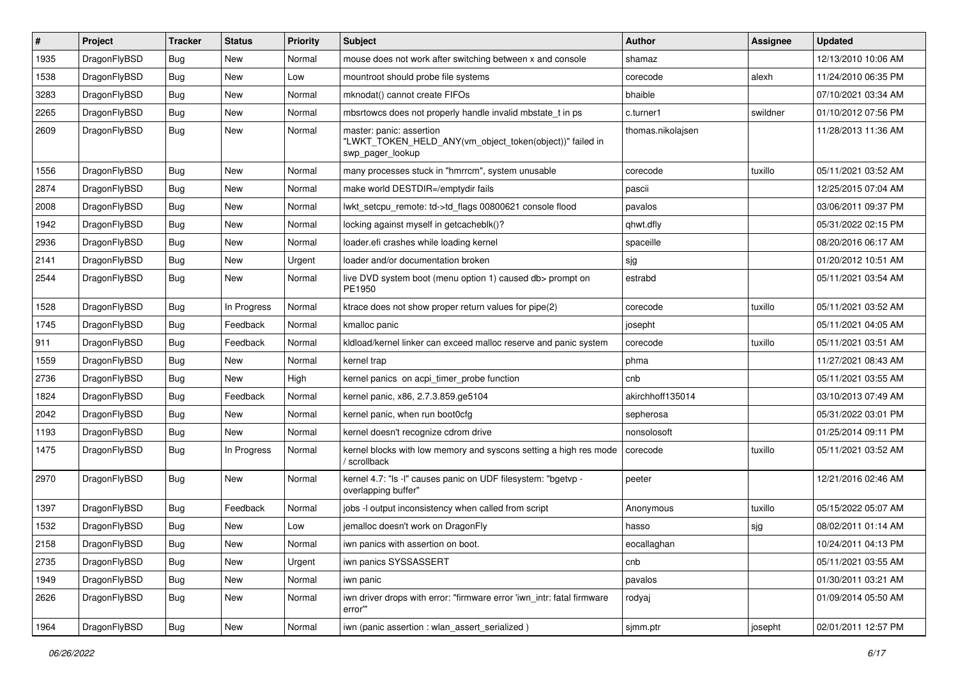| $\pmb{\#}$ | Project      | <b>Tracker</b> | <b>Status</b> | <b>Priority</b> | <b>Subject</b>                                                                                           | <b>Author</b>     | Assignee | <b>Updated</b>      |
|------------|--------------|----------------|---------------|-----------------|----------------------------------------------------------------------------------------------------------|-------------------|----------|---------------------|
| 1935       | DragonFlyBSD | <b>Bug</b>     | <b>New</b>    | Normal          | mouse does not work after switching between x and console                                                | shamaz            |          | 12/13/2010 10:06 AM |
| 1538       | DragonFlyBSD | <b>Bug</b>     | <b>New</b>    | Low             | mountroot should probe file systems                                                                      | corecode          | alexh    | 11/24/2010 06:35 PM |
| 3283       | DragonFlyBSD | <b>Bug</b>     | New           | Normal          | mknodat() cannot create FIFOs                                                                            | bhaible           |          | 07/10/2021 03:34 AM |
| 2265       | DragonFlyBSD | <b>Bug</b>     | New           | Normal          | mbsrtowcs does not properly handle invalid mbstate_t in ps                                               | c.turner1         | swildner | 01/10/2012 07:56 PM |
| 2609       | DragonFlyBSD | Bug            | New           | Normal          | master: panic: assertion<br>"LWKT_TOKEN_HELD_ANY(vm_object_token(object))" failed in<br>swp_pager_lookup | thomas.nikolajsen |          | 11/28/2013 11:36 AM |
| 1556       | DragonFlyBSD | <b>Bug</b>     | New           | Normal          | many processes stuck in "hmrrcm", system unusable                                                        | corecode          | tuxillo  | 05/11/2021 03:52 AM |
| 2874       | DragonFlyBSD | <b>Bug</b>     | New           | Normal          | make world DESTDIR=/emptydir fails                                                                       | pascii            |          | 12/25/2015 07:04 AM |
| 2008       | DragonFlyBSD | Bug            | New           | Normal          | lwkt_setcpu_remote: td->td_flags 00800621 console flood                                                  | pavalos           |          | 03/06/2011 09:37 PM |
| 1942       | DragonFlyBSD | <b>Bug</b>     | New           | Normal          | locking against myself in getcacheblk()?                                                                 | qhwt.dfly         |          | 05/31/2022 02:15 PM |
| 2936       | DragonFlyBSD | Bug            | New           | Normal          | loader.efi crashes while loading kernel                                                                  | spaceille         |          | 08/20/2016 06:17 AM |
| 2141       | DragonFlyBSD | <b>Bug</b>     | New           | Urgent          | loader and/or documentation broken                                                                       | sjg               |          | 01/20/2012 10:51 AM |
| 2544       | DragonFlyBSD | Bug            | New           | Normal          | live DVD system boot (menu option 1) caused db> prompt on<br>PE1950                                      | estrabd           |          | 05/11/2021 03:54 AM |
| 1528       | DragonFlyBSD | <b>Bug</b>     | In Progress   | Normal          | ktrace does not show proper return values for pipe(2)                                                    | corecode          | tuxillo  | 05/11/2021 03:52 AM |
| 1745       | DragonFlyBSD | <b>Bug</b>     | Feedback      | Normal          | kmalloc panic                                                                                            | josepht           |          | 05/11/2021 04:05 AM |
| 911        | DragonFlyBSD | <b>Bug</b>     | Feedback      | Normal          | kldload/kernel linker can exceed malloc reserve and panic system                                         | corecode          | tuxillo  | 05/11/2021 03:51 AM |
| 1559       | DragonFlyBSD | <b>Bug</b>     | New           | Normal          | kernel trap                                                                                              | phma              |          | 11/27/2021 08:43 AM |
| 2736       | DragonFlyBSD | Bug            | New           | High            | kernel panics on acpi_timer_probe function                                                               | cnb               |          | 05/11/2021 03:55 AM |
| 1824       | DragonFlyBSD | Bug            | Feedback      | Normal          | kernel panic, x86, 2.7.3.859.ge5104                                                                      | akirchhoff135014  |          | 03/10/2013 07:49 AM |
| 2042       | DragonFlyBSD | <b>Bug</b>     | New           | Normal          | kernel panic, when run boot0cfg                                                                          | sepherosa         |          | 05/31/2022 03:01 PM |
| 1193       | DragonFlyBSD | <b>Bug</b>     | <b>New</b>    | Normal          | kernel doesn't recognize cdrom drive                                                                     | nonsolosoft       |          | 01/25/2014 09:11 PM |
| 1475       | DragonFlyBSD | <b>Bug</b>     | In Progress   | Normal          | kernel blocks with low memory and syscons setting a high res mode<br>/ scrollback                        | corecode          | tuxillo  | 05/11/2021 03:52 AM |
| 2970       | DragonFlyBSD | Bug            | <b>New</b>    | Normal          | kernel 4.7: "Is -I" causes panic on UDF filesystem: "bgetvp -<br>overlapping buffer"                     | peeter            |          | 12/21/2016 02:46 AM |
| 1397       | DragonFlyBSD | Bug            | Feedback      | Normal          | jobs -I output inconsistency when called from script                                                     | Anonymous         | tuxillo  | 05/15/2022 05:07 AM |
| 1532       | DragonFlyBSD | <b>Bug</b>     | New           | Low             | jemalloc doesn't work on DragonFly                                                                       | hasso             | sjg      | 08/02/2011 01:14 AM |
| 2158       | DragonFlyBSD | <b>Bug</b>     | New           | Normal          | iwn panics with assertion on boot.                                                                       | eocallaghan       |          | 10/24/2011 04:13 PM |
| 2735       | DragonFlyBSD | Bug            | New           | Urgent          | iwn panics SYSSASSERT                                                                                    | cnb               |          | 05/11/2021 03:55 AM |
| 1949       | DragonFlyBSD | <b>Bug</b>     | New           | Normal          | iwn panic                                                                                                | pavalos           |          | 01/30/2011 03:21 AM |
| 2626       | DragonFlyBSD | Bug            | New           | Normal          | iwn driver drops with error: "firmware error 'iwn_intr: fatal firmware<br>error""                        | rodyaj            |          | 01/09/2014 05:50 AM |
| 1964       | DragonFlyBSD | <b>Bug</b>     | New           | Normal          | iwn (panic assertion : wlan assert serialized)                                                           | sjmm.ptr          | josepht  | 02/01/2011 12:57 PM |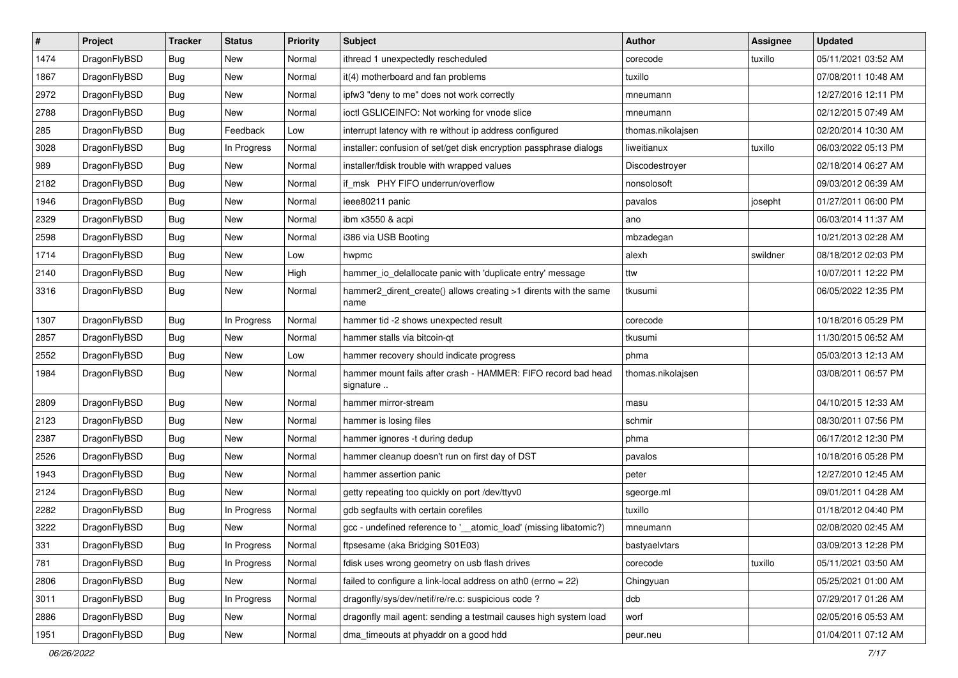| $\pmb{\#}$ | Project      | <b>Tracker</b> | <b>Status</b> | <b>Priority</b> | Subject                                                                    | <b>Author</b>     | Assignee | <b>Updated</b>      |
|------------|--------------|----------------|---------------|-----------------|----------------------------------------------------------------------------|-------------------|----------|---------------------|
| 1474       | DragonFlyBSD | Bug            | New           | Normal          | ithread 1 unexpectedly rescheduled                                         | corecode          | tuxillo  | 05/11/2021 03:52 AM |
| 1867       | DragonFlyBSD | Bug            | <b>New</b>    | Normal          | it(4) motherboard and fan problems                                         | tuxillo           |          | 07/08/2011 10:48 AM |
| 2972       | DragonFlyBSD | <b>Bug</b>     | New           | Normal          | ipfw3 "deny to me" does not work correctly                                 | mneumann          |          | 12/27/2016 12:11 PM |
| 2788       | DragonFlyBSD | <b>Bug</b>     | New           | Normal          | ioctl GSLICEINFO: Not working for vnode slice                              | mneumann          |          | 02/12/2015 07:49 AM |
| 285        | DragonFlyBSD | Bug            | Feedback      | Low             | interrupt latency with re without ip address configured                    | thomas.nikolajsen |          | 02/20/2014 10:30 AM |
| 3028       | DragonFlyBSD | <b>Bug</b>     | In Progress   | Normal          | installer: confusion of set/get disk encryption passphrase dialogs         | liweitianux       | tuxillo  | 06/03/2022 05:13 PM |
| 989        | DragonFlyBSD | Bug            | <b>New</b>    | Normal          | installer/fdisk trouble with wrapped values                                | Discodestroyer    |          | 02/18/2014 06:27 AM |
| 2182       | DragonFlyBSD | <b>Bug</b>     | New           | Normal          | if_msk PHY FIFO underrun/overflow                                          | nonsolosoft       |          | 09/03/2012 06:39 AM |
| 1946       | DragonFlyBSD | <b>Bug</b>     | New           | Normal          | ieee80211 panic                                                            | pavalos           | josepht  | 01/27/2011 06:00 PM |
| 2329       | DragonFlyBSD | Bug            | <b>New</b>    | Normal          | ibm x3550 & acpi                                                           | ano               |          | 06/03/2014 11:37 AM |
| 2598       | DragonFlyBSD | Bug            | <b>New</b>    | Normal          | i386 via USB Booting                                                       | mbzadegan         |          | 10/21/2013 02:28 AM |
| 1714       | DragonFlyBSD | Bug            | New           | Low             | hwpmc                                                                      | alexh             | swildner | 08/18/2012 02:03 PM |
| 2140       | DragonFlyBSD | Bug            | New           | High            | hammer io delallocate panic with 'duplicate entry' message                 | ttw               |          | 10/07/2011 12:22 PM |
| 3316       | DragonFlyBSD | Bug            | New           | Normal          | hammer2_dirent_create() allows creating >1 dirents with the same<br>name   | tkusumi           |          | 06/05/2022 12:35 PM |
| 1307       | DragonFlyBSD | Bug            | In Progress   | Normal          | hammer tid -2 shows unexpected result                                      | corecode          |          | 10/18/2016 05:29 PM |
| 2857       | DragonFlyBSD | <b>Bug</b>     | <b>New</b>    | Normal          | hammer stalls via bitcoin-qt                                               | tkusumi           |          | 11/30/2015 06:52 AM |
| 2552       | DragonFlyBSD | Bug            | New           | Low             | hammer recovery should indicate progress                                   | phma              |          | 05/03/2013 12:13 AM |
| 1984       | DragonFlyBSD | <b>Bug</b>     | New           | Normal          | hammer mount fails after crash - HAMMER: FIFO record bad head<br>signature | thomas.nikolajsen |          | 03/08/2011 06:57 PM |
| 2809       | DragonFlyBSD | Bug            | <b>New</b>    | Normal          | hammer mirror-stream                                                       | masu              |          | 04/10/2015 12:33 AM |
| 2123       | DragonFlyBSD | Bug            | New           | Normal          | hammer is losing files                                                     | schmir            |          | 08/30/2011 07:56 PM |
| 2387       | DragonFlyBSD | Bug            | <b>New</b>    | Normal          | hammer ignores -t during dedup                                             | phma              |          | 06/17/2012 12:30 PM |
| 2526       | DragonFlyBSD | <b>Bug</b>     | New           | Normal          | hammer cleanup doesn't run on first day of DST                             | pavalos           |          | 10/18/2016 05:28 PM |
| 1943       | DragonFlyBSD | <b>Bug</b>     | New           | Normal          | hammer assertion panic                                                     | peter             |          | 12/27/2010 12:45 AM |
| 2124       | DragonFlyBSD | Bug            | <b>New</b>    | Normal          | getty repeating too quickly on port /dev/ttyv0                             | sgeorge.ml        |          | 09/01/2011 04:28 AM |
| 2282       | DragonFlyBSD | Bug            | In Progress   | Normal          | gdb segfaults with certain corefiles                                       | tuxillo           |          | 01/18/2012 04:40 PM |
| 3222       | DragonFlyBSD | Bug            | <b>New</b>    | Normal          | gcc - undefined reference to '__atomic_load' (missing libatomic?)          | mneumann          |          | 02/08/2020 02:45 AM |
| 331        | DragonFlyBSD | <b>Bug</b>     | In Progress   | Normal          | ftpsesame (aka Bridging S01E03)                                            | bastyaelvtars     |          | 03/09/2013 12:28 PM |
| 781        | DragonFlyBSD | <b>Bug</b>     | In Progress   | Normal          | fdisk uses wrong geometry on usb flash drives                              | corecode          | tuxillo  | 05/11/2021 03:50 AM |
| 2806       | DragonFlyBSD | <b>Bug</b>     | New           | Normal          | failed to configure a link-local address on ath0 (errno = 22)              | Chingyuan         |          | 05/25/2021 01:00 AM |
| 3011       | DragonFlyBSD | <b>Bug</b>     | In Progress   | Normal          | dragonfly/sys/dev/netif/re/re.c: suspicious code?                          | dcb               |          | 07/29/2017 01:26 AM |
| 2886       | DragonFlyBSD | <b>Bug</b>     | New           | Normal          | dragonfly mail agent: sending a testmail causes high system load           | worf              |          | 02/05/2016 05:53 AM |
| 1951       | DragonFlyBSD | Bug            | New           | Normal          | dma_timeouts at phyaddr on a good hdd                                      | peur.neu          |          | 01/04/2011 07:12 AM |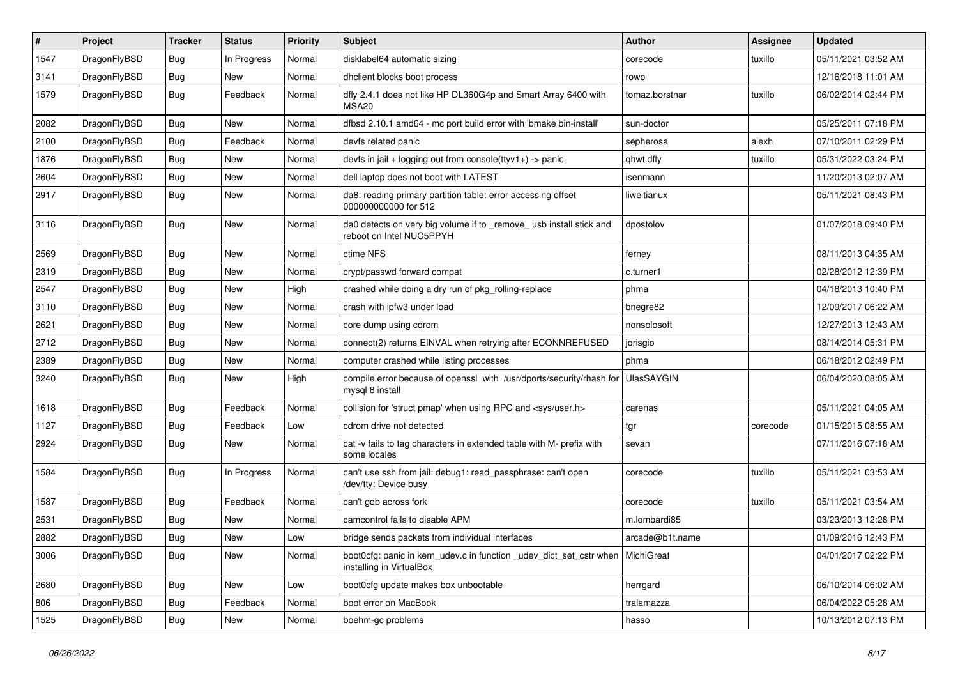| $\sharp$ | Project      | <b>Tracker</b> | <b>Status</b> | <b>Priority</b> | <b>Subject</b>                                                                                  | <b>Author</b>   | Assignee | <b>Updated</b>      |
|----------|--------------|----------------|---------------|-----------------|-------------------------------------------------------------------------------------------------|-----------------|----------|---------------------|
| 1547     | DragonFlyBSD | Bug            | In Progress   | Normal          | disklabel64 automatic sizing                                                                    | corecode        | tuxillo  | 05/11/2021 03:52 AM |
| 3141     | DragonFlyBSD | Bug            | New           | Normal          | dhclient blocks boot process                                                                    | rowo            |          | 12/16/2018 11:01 AM |
| 1579     | DragonFlyBSD | <b>Bug</b>     | Feedback      | Normal          | dfly 2.4.1 does not like HP DL360G4p and Smart Array 6400 with<br>MSA <sub>20</sub>             | tomaz.borstnar  | tuxillo  | 06/02/2014 02:44 PM |
| 2082     | DragonFlyBSD | Bug            | New           | Normal          | dfbsd 2.10.1 amd64 - mc port build error with 'bmake bin-install'                               | sun-doctor      |          | 05/25/2011 07:18 PM |
| 2100     | DragonFlyBSD | <b>Bug</b>     | Feedback      | Normal          | devfs related panic                                                                             | sepherosa       | alexh    | 07/10/2011 02:29 PM |
| 1876     | DragonFlyBSD | <b>Bug</b>     | <b>New</b>    | Normal          | devfs in jail + logging out from console(ttyv1+) -> panic                                       | qhwt.dfly       | tuxillo  | 05/31/2022 03:24 PM |
| 2604     | DragonFlyBSD | <b>Bug</b>     | New           | Normal          | dell laptop does not boot with LATEST                                                           | isenmann        |          | 11/20/2013 02:07 AM |
| 2917     | DragonFlyBSD | <b>Bug</b>     | New           | Normal          | da8: reading primary partition table: error accessing offset<br>000000000000 for 512            | liweitianux     |          | 05/11/2021 08:43 PM |
| 3116     | DragonFlyBSD | <b>Bug</b>     | New           | Normal          | da0 detects on very big volume if to _remove_ usb install stick and<br>reboot on Intel NUC5PPYH | dpostolov       |          | 01/07/2018 09:40 PM |
| 2569     | DragonFlyBSD | <b>Bug</b>     | <b>New</b>    | Normal          | ctime NFS                                                                                       | ferney          |          | 08/11/2013 04:35 AM |
| 2319     | DragonFlyBSD | <b>Bug</b>     | New           | Normal          | crypt/passwd forward compat                                                                     | c.turner1       |          | 02/28/2012 12:39 PM |
| 2547     | DragonFlyBSD | <b>Bug</b>     | New           | High            | crashed while doing a dry run of pkg rolling-replace                                            | phma            |          | 04/18/2013 10:40 PM |
| 3110     | DragonFlyBSD | <b>Bug</b>     | <b>New</b>    | Normal          | crash with ipfw3 under load                                                                     | bnegre82        |          | 12/09/2017 06:22 AM |
| 2621     | DragonFlyBSD | <b>Bug</b>     | New           | Normal          | core dump using cdrom                                                                           | nonsolosoft     |          | 12/27/2013 12:43 AM |
| 2712     | DragonFlyBSD | <b>Bug</b>     | <b>New</b>    | Normal          | connect(2) returns EINVAL when retrying after ECONNREFUSED                                      | jorisgio        |          | 08/14/2014 05:31 PM |
| 2389     | DragonFlyBSD | <b>Bug</b>     | New           | Normal          | computer crashed while listing processes                                                        | phma            |          | 06/18/2012 02:49 PM |
| 3240     | DragonFlyBSD | <b>Bug</b>     | New           | High            | compile error because of openssl with /usr/dports/security/rhash for<br>mysql 8 install         | UlasSAYGIN      |          | 06/04/2020 08:05 AM |
| 1618     | DragonFlyBSD | Bug            | Feedback      | Normal          | collision for 'struct pmap' when using RPC and <sys user.h=""></sys>                            | carenas         |          | 05/11/2021 04:05 AM |
| 1127     | DragonFlyBSD | <b>Bug</b>     | Feedback      | Low             | cdrom drive not detected                                                                        | tgr             | corecode | 01/15/2015 08:55 AM |
| 2924     | DragonFlyBSD | <b>Bug</b>     | New           | Normal          | cat -v fails to tag characters in extended table with M- prefix with<br>some locales            | sevan           |          | 07/11/2016 07:18 AM |
| 1584     | DragonFlyBSD | <b>Bug</b>     | In Progress   | Normal          | can't use ssh from jail: debug1: read_passphrase: can't open<br>/dev/tty: Device busy           | corecode        | tuxillo  | 05/11/2021 03:53 AM |
| 1587     | DragonFlyBSD | <b>Bug</b>     | Feedback      | Normal          | can't gdb across fork                                                                           | corecode        | tuxillo  | 05/11/2021 03:54 AM |
| 2531     | DragonFlyBSD | <b>Bug</b>     | New           | Normal          | camcontrol fails to disable APM                                                                 | m.lombardi85    |          | 03/23/2013 12:28 PM |
| 2882     | DragonFlyBSD | Bug            | <b>New</b>    | Low             | bridge sends packets from individual interfaces                                                 | arcade@b1t.name |          | 01/09/2016 12:43 PM |
| 3006     | DragonFlyBSD | <b>Bug</b>     | New           | Normal          | boot0cfg: panic in kern udev.c in function udev dict set cstr when<br>installing in VirtualBox  | MichiGreat      |          | 04/01/2017 02:22 PM |
| 2680     | DragonFlyBSD | <b>Bug</b>     | New           | Low             | boot0cfg update makes box unbootable                                                            | herrgard        |          | 06/10/2014 06:02 AM |
| 806      | DragonFlyBSD | <b>Bug</b>     | Feedback      | Normal          | boot error on MacBook                                                                           | tralamazza      |          | 06/04/2022 05:28 AM |
| 1525     | DragonFlyBSD | <b>Bug</b>     | New           | Normal          | boehm-gc problems                                                                               | hasso           |          | 10/13/2012 07:13 PM |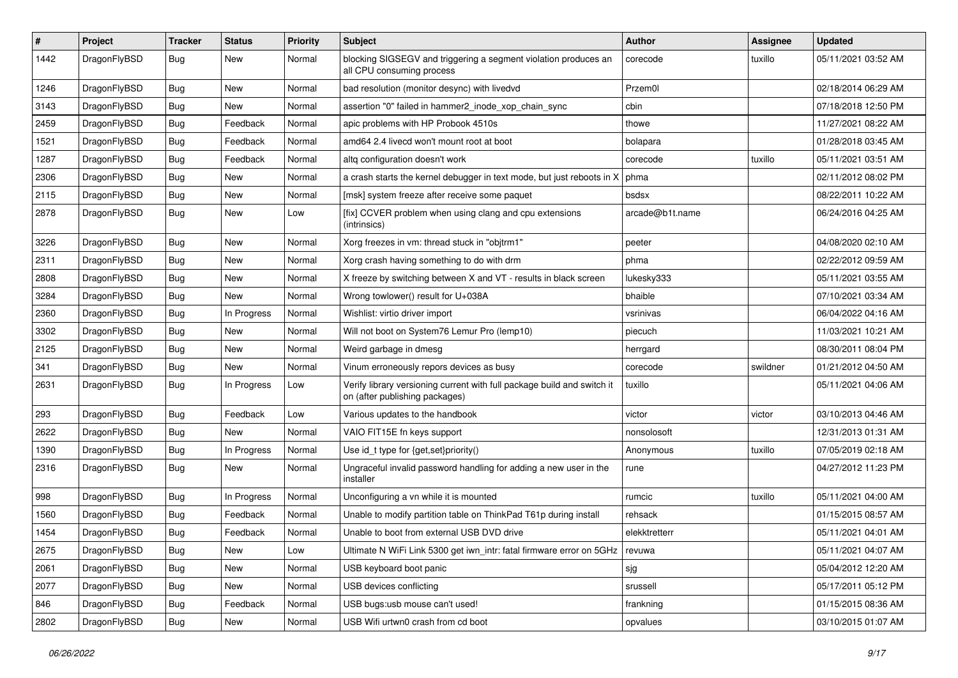| ∦    | Project      | <b>Tracker</b> | <b>Status</b> | <b>Priority</b> | Subject                                                                                                   | Author          | <b>Assignee</b> | <b>Updated</b>      |
|------|--------------|----------------|---------------|-----------------|-----------------------------------------------------------------------------------------------------------|-----------------|-----------------|---------------------|
| 1442 | DragonFlyBSD | Bug            | New           | Normal          | blocking SIGSEGV and triggering a segment violation produces an<br>all CPU consuming process              | corecode        | tuxillo         | 05/11/2021 03:52 AM |
| 1246 | DragonFlyBSD | Bug            | <b>New</b>    | Normal          | bad resolution (monitor desync) with livedvd                                                              | Przem0l         |                 | 02/18/2014 06:29 AM |
| 3143 | DragonFlyBSD | Bug            | New           | Normal          | assertion "0" failed in hammer2 inode xop chain sync                                                      | cbin            |                 | 07/18/2018 12:50 PM |
| 2459 | DragonFlyBSD | <b>Bug</b>     | Feedback      | Normal          | apic problems with HP Probook 4510s                                                                       | thowe           |                 | 11/27/2021 08:22 AM |
| 1521 | DragonFlyBSD | <b>Bug</b>     | Feedback      | Normal          | amd64 2.4 livecd won't mount root at boot                                                                 | bolapara        |                 | 01/28/2018 03:45 AM |
| 1287 | DragonFlyBSD | Bug            | Feedback      | Normal          | altg configuration doesn't work                                                                           | corecode        | tuxillo         | 05/11/2021 03:51 AM |
| 2306 | DragonFlyBSD | <b>Bug</b>     | New           | Normal          | a crash starts the kernel debugger in text mode, but just reboots in X                                    | phma            |                 | 02/11/2012 08:02 PM |
| 2115 | DragonFlyBSD | <b>Bug</b>     | New           | Normal          | [msk] system freeze after receive some paquet                                                             | bsdsx           |                 | 08/22/2011 10:22 AM |
| 2878 | DragonFlyBSD | Bug            | New           | Low             | [fix] CCVER problem when using clang and cpu extensions<br>(intrinsics)                                   | arcade@b1t.name |                 | 06/24/2016 04:25 AM |
| 3226 | DragonFlyBSD | Bug            | <b>New</b>    | Normal          | Xorg freezes in vm: thread stuck in "objtrm1"                                                             | peeter          |                 | 04/08/2020 02:10 AM |
| 2311 | DragonFlyBSD | <b>Bug</b>     | <b>New</b>    | Normal          | Xorg crash having something to do with drm                                                                | phma            |                 | 02/22/2012 09:59 AM |
| 2808 | DragonFlyBSD | <b>Bug</b>     | New           | Normal          | X freeze by switching between X and VT - results in black screen                                          | lukesky333      |                 | 05/11/2021 03:55 AM |
| 3284 | DragonFlyBSD | <b>Bug</b>     | <b>New</b>    | Normal          | Wrong towlower() result for U+038A                                                                        | bhaible         |                 | 07/10/2021 03:34 AM |
| 2360 | DragonFlyBSD | <b>Bug</b>     | In Progress   | Normal          | Wishlist: virtio driver import                                                                            | vsrinivas       |                 | 06/04/2022 04:16 AM |
| 3302 | DragonFlyBSD | Bug            | New           | Normal          | Will not boot on System76 Lemur Pro (lemp10)                                                              | piecuch         |                 | 11/03/2021 10:21 AM |
| 2125 | DragonFlyBSD | <b>Bug</b>     | <b>New</b>    | Normal          | Weird garbage in dmesg                                                                                    | herrgard        |                 | 08/30/2011 08:04 PM |
| 341  | DragonFlyBSD | <b>Bug</b>     | New           | Normal          | Vinum erroneously repors devices as busy                                                                  | corecode        | swildner        | 01/21/2012 04:50 AM |
| 2631 | DragonFlyBSD | Bug            | In Progress   | Low             | Verify library versioning current with full package build and switch it<br>on (after publishing packages) | tuxillo         |                 | 05/11/2021 04:06 AM |
| 293  | DragonFlyBSD | <b>Bug</b>     | Feedback      | Low             | Various updates to the handbook                                                                           | victor          | victor          | 03/10/2013 04:46 AM |
| 2622 | DragonFlyBSD | Bug            | New           | Normal          | VAIO FIT15E fn keys support                                                                               | nonsolosoft     |                 | 12/31/2013 01:31 AM |
| 1390 | DragonFlyBSD | <b>Bug</b>     | In Progress   | Normal          | Use id_t type for {get,set}priority()                                                                     | Anonymous       | tuxillo         | 07/05/2019 02:18 AM |
| 2316 | DragonFlyBSD | Bug            | New           | Normal          | Ungraceful invalid password handling for adding a new user in the<br>installer                            | rune            |                 | 04/27/2012 11:23 PM |
| 998  | DragonFlyBSD | <b>Bug</b>     | In Progress   | Normal          | Unconfiguring a vn while it is mounted                                                                    | rumcic          | tuxillo         | 05/11/2021 04:00 AM |
| 1560 | DragonFlyBSD | Bug            | Feedback      | Normal          | Unable to modify partition table on ThinkPad T61p during install                                          | rehsack         |                 | 01/15/2015 08:57 AM |
| 1454 | DragonFlyBSD | <b>Bug</b>     | Feedback      | Normal          | Unable to boot from external USB DVD drive                                                                | elekktretterr   |                 | 05/11/2021 04:01 AM |
| 2675 | DragonFlyBSD | <b>Bug</b>     | New           | Low             | Ultimate N WiFi Link 5300 get iwn_intr: fatal firmware error on 5GHz                                      | revuwa          |                 | 05/11/2021 04:07 AM |
| 2061 | DragonFlyBSD | <b>Bug</b>     | New           | Normal          | USB keyboard boot panic                                                                                   | sjg             |                 | 05/04/2012 12:20 AM |
| 2077 | DragonFlyBSD | <b>Bug</b>     | New           | Normal          | USB devices conflicting                                                                                   | srussell        |                 | 05/17/2011 05:12 PM |
| 846  | DragonFlyBSD | <b>Bug</b>     | Feedback      | Normal          | USB bugs:usb mouse can't used!                                                                            | frankning       |                 | 01/15/2015 08:36 AM |
| 2802 | DragonFlyBSD | <b>Bug</b>     | New           | Normal          | USB Wifi urtwn0 crash from cd boot                                                                        | opvalues        |                 | 03/10/2015 01:07 AM |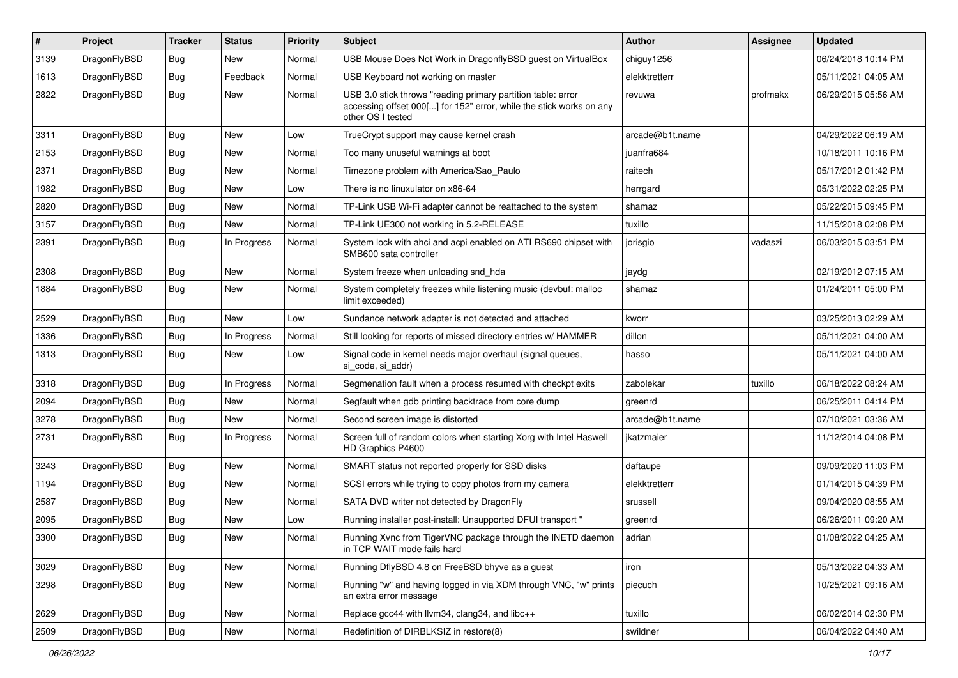| #    | Project      | <b>Tracker</b> | <b>Status</b> | <b>Priority</b> | Subject                                                                                                                                                  | Author          | Assignee | <b>Updated</b>      |
|------|--------------|----------------|---------------|-----------------|----------------------------------------------------------------------------------------------------------------------------------------------------------|-----------------|----------|---------------------|
| 3139 | DragonFlyBSD | <b>Bug</b>     | New           | Normal          | USB Mouse Does Not Work in DragonflyBSD guest on VirtualBox                                                                                              | chiguy1256      |          | 06/24/2018 10:14 PM |
| 1613 | DragonFlyBSD | <b>Bug</b>     | Feedback      | Normal          | USB Keyboard not working on master                                                                                                                       | elekktretterr   |          | 05/11/2021 04:05 AM |
| 2822 | DragonFlyBSD | Bug            | New           | Normal          | USB 3.0 stick throws "reading primary partition table: error<br>accessing offset 000[] for 152" error, while the stick works on any<br>other OS I tested | revuwa          | profmakx | 06/29/2015 05:56 AM |
| 3311 | DragonFlyBSD | Bug            | <b>New</b>    | Low             | TrueCrypt support may cause kernel crash                                                                                                                 | arcade@b1t.name |          | 04/29/2022 06:19 AM |
| 2153 | DragonFlyBSD | Bug            | <b>New</b>    | Normal          | Too many unuseful warnings at boot                                                                                                                       | juanfra684      |          | 10/18/2011 10:16 PM |
| 2371 | DragonFlyBSD | <b>Bug</b>     | <b>New</b>    | Normal          | Timezone problem with America/Sao Paulo                                                                                                                  | raitech         |          | 05/17/2012 01:42 PM |
| 1982 | DragonFlyBSD | Bug            | <b>New</b>    | Low             | There is no linuxulator on x86-64                                                                                                                        | herrgard        |          | 05/31/2022 02:25 PM |
| 2820 | DragonFlyBSD | <b>Bug</b>     | <b>New</b>    | Normal          | TP-Link USB Wi-Fi adapter cannot be reattached to the system                                                                                             | shamaz          |          | 05/22/2015 09:45 PM |
| 3157 | DragonFlyBSD | <b>Bug</b>     | <b>New</b>    | Normal          | TP-Link UE300 not working in 5.2-RELEASE                                                                                                                 | tuxillo         |          | 11/15/2018 02:08 PM |
| 2391 | DragonFlyBSD | Bug            | In Progress   | Normal          | System lock with ahci and acpi enabled on ATI RS690 chipset with<br>SMB600 sata controller                                                               | jorisgio        | vadaszi  | 06/03/2015 03:51 PM |
| 2308 | DragonFlyBSD | Bug            | New           | Normal          | System freeze when unloading snd hda                                                                                                                     | jaydg           |          | 02/19/2012 07:15 AM |
| 1884 | DragonFlyBSD | Bug            | <b>New</b>    | Normal          | System completely freezes while listening music (devbuf: malloc<br>limit exceeded)                                                                       | shamaz          |          | 01/24/2011 05:00 PM |
| 2529 | DragonFlyBSD | <b>Bug</b>     | New           | Low             | Sundance network adapter is not detected and attached                                                                                                    | kworr           |          | 03/25/2013 02:29 AM |
| 1336 | DragonFlyBSD | Bug            | In Progress   | Normal          | Still looking for reports of missed directory entries w/ HAMMER                                                                                          | dillon          |          | 05/11/2021 04:00 AM |
| 1313 | DragonFlyBSD | <b>Bug</b>     | New           | Low             | Signal code in kernel needs major overhaul (signal queues,<br>si code, si addr)                                                                          | hasso           |          | 05/11/2021 04:00 AM |
| 3318 | DragonFlyBSD | <b>Bug</b>     | In Progress   | Normal          | Segmenation fault when a process resumed with checkpt exits                                                                                              | zabolekar       | tuxillo  | 06/18/2022 08:24 AM |
| 2094 | DragonFlyBSD | <b>Bug</b>     | New           | Normal          | Segfault when gdb printing backtrace from core dump                                                                                                      | greenrd         |          | 06/25/2011 04:14 PM |
| 3278 | DragonFlyBSD | Bug            | <b>New</b>    | Normal          | Second screen image is distorted                                                                                                                         | arcade@b1t.name |          | 07/10/2021 03:36 AM |
| 2731 | DragonFlyBSD | Bug            | In Progress   | Normal          | Screen full of random colors when starting Xorg with Intel Haswell<br>HD Graphics P4600                                                                  | jkatzmaier      |          | 11/12/2014 04:08 PM |
| 3243 | DragonFlyBSD | <b>Bug</b>     | <b>New</b>    | Normal          | SMART status not reported properly for SSD disks                                                                                                         | daftaupe        |          | 09/09/2020 11:03 PM |
| 1194 | DragonFlyBSD | <b>Bug</b>     | <b>New</b>    | Normal          | SCSI errors while trying to copy photos from my camera                                                                                                   | elekktretterr   |          | 01/14/2015 04:39 PM |
| 2587 | DragonFlyBSD | <b>Bug</b>     | <b>New</b>    | Normal          | SATA DVD writer not detected by DragonFly                                                                                                                | srussell        |          | 09/04/2020 08:55 AM |
| 2095 | DragonFlyBSD | <b>Bug</b>     | <b>New</b>    | Low             | Running installer post-install: Unsupported DFUI transport "                                                                                             | greenrd         |          | 06/26/2011 09:20 AM |
| 3300 | DragonFlvBSD | Bug            | <b>New</b>    | Normal          | Running Xvnc from TigerVNC package through the INETD daemon<br>in TCP WAIT mode fails hard                                                               | adrian          |          | 01/08/2022 04:25 AM |
| 3029 | DragonFlyBSD | <b>Bug</b>     | New           | Normal          | Running DflyBSD 4.8 on FreeBSD bhyve as a guest                                                                                                          | iron            |          | 05/13/2022 04:33 AM |
| 3298 | DragonFlyBSD | Bug            | New           | Normal          | Running "w" and having logged in via XDM through VNC, "w" prints<br>an extra error message                                                               | piecuch         |          | 10/25/2021 09:16 AM |
| 2629 | DragonFlyBSD | <b>Bug</b>     | New           | Normal          | Replace gcc44 with llvm34, clang34, and libc++                                                                                                           | tuxillo         |          | 06/02/2014 02:30 PM |
| 2509 | DragonFlyBSD | Bug            | New           | Normal          | Redefinition of DIRBLKSIZ in restore(8)                                                                                                                  | swildner        |          | 06/04/2022 04:40 AM |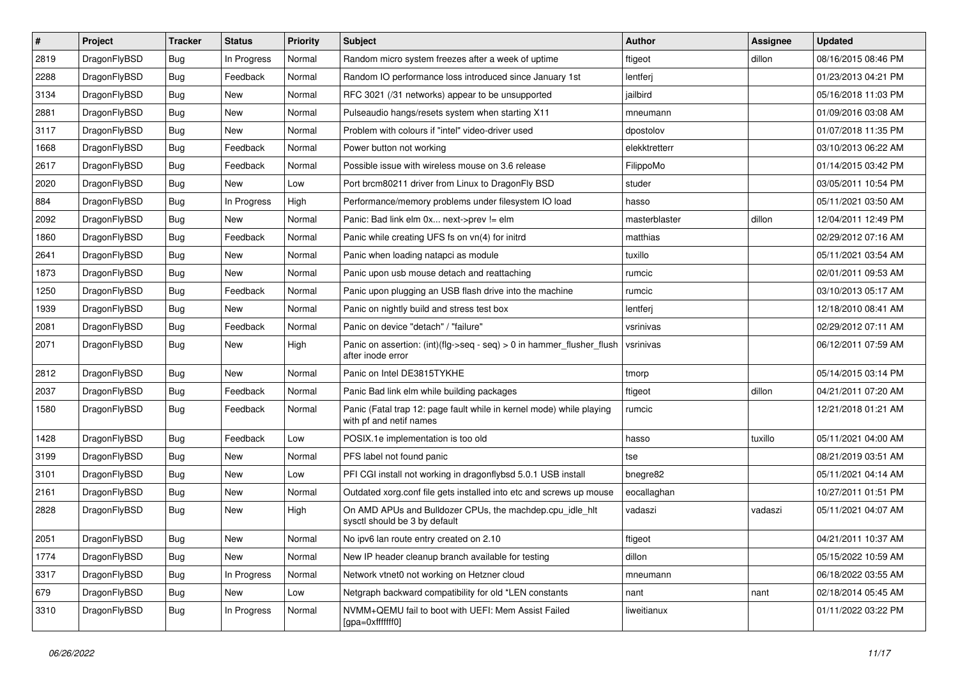| $\sharp$ | Project      | <b>Tracker</b> | <b>Status</b> | <b>Priority</b> | Subject                                                                                         | <b>Author</b> | Assignee | <b>Updated</b>      |
|----------|--------------|----------------|---------------|-----------------|-------------------------------------------------------------------------------------------------|---------------|----------|---------------------|
| 2819     | DragonFlyBSD | Bug            | In Progress   | Normal          | Random micro system freezes after a week of uptime                                              | ftigeot       | dillon   | 08/16/2015 08:46 PM |
| 2288     | DragonFlyBSD | <b>Bug</b>     | Feedback      | Normal          | Random IO performance loss introduced since January 1st                                         | lentferj      |          | 01/23/2013 04:21 PM |
| 3134     | DragonFlyBSD | <b>Bug</b>     | <b>New</b>    | Normal          | RFC 3021 (/31 networks) appear to be unsupported                                                | jailbird      |          | 05/16/2018 11:03 PM |
| 2881     | DragonFlyBSD | <b>Bug</b>     | New           | Normal          | Pulseaudio hangs/resets system when starting X11                                                | mneumann      |          | 01/09/2016 03:08 AM |
| 3117     | DragonFlyBSD | <b>Bug</b>     | <b>New</b>    | Normal          | Problem with colours if "intel" video-driver used                                               | dpostolov     |          | 01/07/2018 11:35 PM |
| 1668     | DragonFlyBSD | <b>Bug</b>     | Feedback      | Normal          | Power button not working                                                                        | elekktretterr |          | 03/10/2013 06:22 AM |
| 2617     | DragonFlyBSD | <b>Bug</b>     | Feedback      | Normal          | Possible issue with wireless mouse on 3.6 release                                               | FilippoMo     |          | 01/14/2015 03:42 PM |
| 2020     | DragonFlyBSD | <b>Bug</b>     | New           | Low             | Port brcm80211 driver from Linux to DragonFly BSD                                               | studer        |          | 03/05/2011 10:54 PM |
| 884      | DragonFlyBSD | <b>Bug</b>     | In Progress   | High            | Performance/memory problems under filesystem IO load                                            | hasso         |          | 05/11/2021 03:50 AM |
| 2092     | DragonFlyBSD | <b>Bug</b>     | <b>New</b>    | Normal          | Panic: Bad link elm 0x next->prev != elm                                                        | masterblaster | dillon   | 12/04/2011 12:49 PM |
| 1860     | DragonFlyBSD | <b>Bug</b>     | Feedback      | Normal          | Panic while creating UFS fs on vn(4) for initrd                                                 | matthias      |          | 02/29/2012 07:16 AM |
| 2641     | DragonFlyBSD | <b>Bug</b>     | <b>New</b>    | Normal          | Panic when loading natapci as module                                                            | tuxillo       |          | 05/11/2021 03:54 AM |
| 1873     | DragonFlyBSD | <b>Bug</b>     | New           | Normal          | Panic upon usb mouse detach and reattaching                                                     | rumcic        |          | 02/01/2011 09:53 AM |
| 1250     | DragonFlyBSD | <b>Bug</b>     | Feedback      | Normal          | Panic upon plugging an USB flash drive into the machine                                         | rumcic        |          | 03/10/2013 05:17 AM |
| 1939     | DragonFlyBSD | <b>Bug</b>     | New           | Normal          | Panic on nightly build and stress test box                                                      | lentferj      |          | 12/18/2010 08:41 AM |
| 2081     | DragonFlyBSD | <b>Bug</b>     | Feedback      | Normal          | Panic on device "detach" / "failure"                                                            | vsrinivas     |          | 02/29/2012 07:11 AM |
| 2071     | DragonFlyBSD | Bug            | New           | High            | Panic on assertion: (int)(flg->seq - seq) > 0 in hammer_flusher_flush<br>after inode error      | vsrinivas     |          | 06/12/2011 07:59 AM |
| 2812     | DragonFlyBSD | Bug            | New           | Normal          | Panic on Intel DE3815TYKHE                                                                      | tmorp         |          | 05/14/2015 03:14 PM |
| 2037     | DragonFlyBSD | <b>Bug</b>     | Feedback      | Normal          | Panic Bad link elm while building packages                                                      | ftigeot       | dillon   | 04/21/2011 07:20 AM |
| 1580     | DragonFlyBSD | Bug            | Feedback      | Normal          | Panic (Fatal trap 12: page fault while in kernel mode) while playing<br>with pf and netif names | rumcic        |          | 12/21/2018 01:21 AM |
| 1428     | DragonFlyBSD | Bug            | Feedback      | Low             | POSIX.1e implementation is too old                                                              | hasso         | tuxillo  | 05/11/2021 04:00 AM |
| 3199     | DragonFlyBSD | <b>Bug</b>     | <b>New</b>    | Normal          | PFS label not found panic                                                                       | tse           |          | 08/21/2019 03:51 AM |
| 3101     | DragonFlyBSD | <b>Bug</b>     | New           | Low             | PFI CGI install not working in dragonflybsd 5.0.1 USB install                                   | bnegre82      |          | 05/11/2021 04:14 AM |
| 2161     | DragonFlyBSD | <b>Bug</b>     | <b>New</b>    | Normal          | Outdated xorg.conf file gets installed into etc and screws up mouse                             | eocallaghan   |          | 10/27/2011 01:51 PM |
| 2828     | DragonFlyBSD | <b>Bug</b>     | New           | High            | On AMD APUs and Bulldozer CPUs, the machdep.cpu_idle_hlt<br>sysctl should be 3 by default       | vadaszi       | vadaszi  | 05/11/2021 04:07 AM |
| 2051     | DragonFlyBSD | Bug            | New           | Normal          | No ipv6 lan route entry created on 2.10                                                         | ftigeot       |          | 04/21/2011 10:37 AM |
| 1774     | DragonFlyBSD | Bug            | New           | Normal          | New IP header cleanup branch available for testing                                              | dillon        |          | 05/15/2022 10:59 AM |
| 3317     | DragonFlyBSD | Bug            | In Progress   | Normal          | Network vtnet0 not working on Hetzner cloud                                                     | mneumann      |          | 06/18/2022 03:55 AM |
| 679      | DragonFlyBSD | <b>Bug</b>     | New           | Low             | Netgraph backward compatibility for old *LEN constants                                          | nant          | nant     | 02/18/2014 05:45 AM |
| 3310     | DragonFlyBSD | <b>Bug</b>     | In Progress   | Normal          | NVMM+QEMU fail to boot with UEFI: Mem Assist Failed<br>[gpa=0xfffffff0]                         | liweitianux   |          | 01/11/2022 03:22 PM |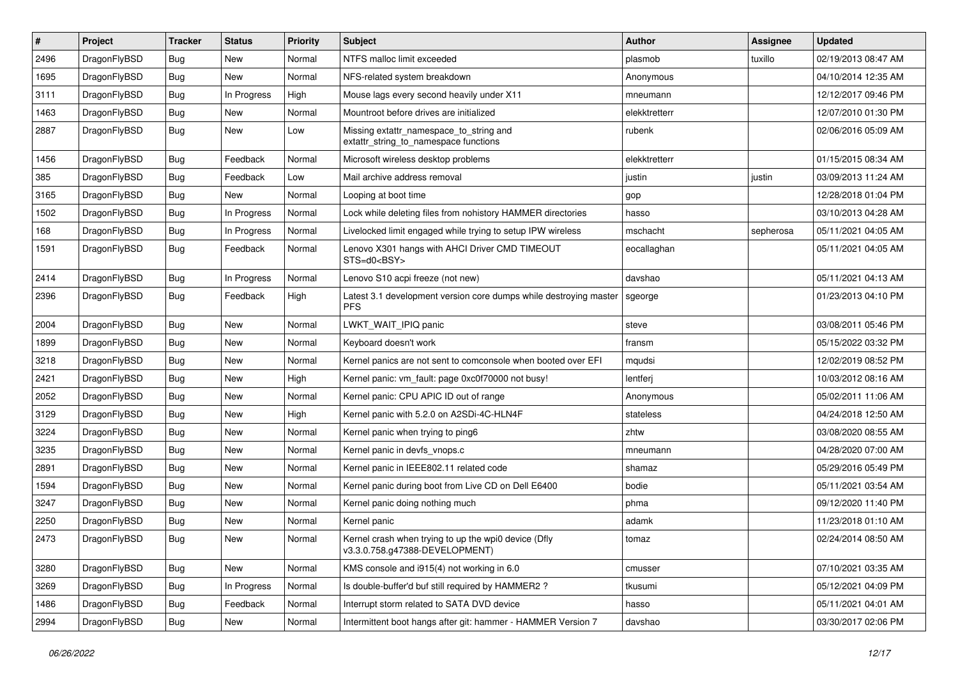| #    | Project      | <b>Tracker</b> | <b>Status</b> | <b>Priority</b> | <b>Subject</b>                                                                         | <b>Author</b> | Assignee  | <b>Updated</b>      |
|------|--------------|----------------|---------------|-----------------|----------------------------------------------------------------------------------------|---------------|-----------|---------------------|
| 2496 | DragonFlyBSD | <b>Bug</b>     | <b>New</b>    | Normal          | NTFS malloc limit exceeded                                                             | plasmob       | tuxillo   | 02/19/2013 08:47 AM |
| 1695 | DragonFlyBSD | <b>Bug</b>     | New           | Normal          | NFS-related system breakdown                                                           | Anonymous     |           | 04/10/2014 12:35 AM |
| 3111 | DragonFlyBSD | <b>Bug</b>     | In Progress   | High            | Mouse lags every second heavily under X11                                              | mneumann      |           | 12/12/2017 09:46 PM |
| 1463 | DragonFlyBSD | <b>Bug</b>     | New           | Normal          | Mountroot before drives are initialized                                                | elekktretterr |           | 12/07/2010 01:30 PM |
| 2887 | DragonFlyBSD | <b>Bug</b>     | New           | Low             | Missing extattr_namespace_to_string and<br>extattr_string_to_namespace functions       | rubenk        |           | 02/06/2016 05:09 AM |
| 1456 | DragonFlyBSD | <b>Bug</b>     | Feedback      | Normal          | Microsoft wireless desktop problems                                                    | elekktretterr |           | 01/15/2015 08:34 AM |
| 385  | DragonFlyBSD | Bug            | Feedback      | Low             | Mail archive address removal                                                           | justin        | justin    | 03/09/2013 11:24 AM |
| 3165 | DragonFlyBSD | Bug            | New           | Normal          | Looping at boot time                                                                   | gop           |           | 12/28/2018 01:04 PM |
| 1502 | DragonFlyBSD | <b>Bug</b>     | In Progress   | Normal          | Lock while deleting files from nohistory HAMMER directories                            | hasso         |           | 03/10/2013 04:28 AM |
| 168  | DragonFlyBSD | Bug            | In Progress   | Normal          | Livelocked limit engaged while trying to setup IPW wireless                            | mschacht      | sepherosa | 05/11/2021 04:05 AM |
| 1591 | DragonFlyBSD | <b>Bug</b>     | Feedback      | Normal          | Lenovo X301 hangs with AHCI Driver CMD TIMEOUT<br>STS=d0 <bsy></bsy>                   | eocallaghan   |           | 05/11/2021 04:05 AM |
| 2414 | DragonFlyBSD | <b>Bug</b>     | In Progress   | Normal          | Lenovo S10 acpi freeze (not new)                                                       | davshao       |           | 05/11/2021 04:13 AM |
| 2396 | DragonFlyBSD | <b>Bug</b>     | Feedback      | High            | Latest 3.1 development version core dumps while destroying master<br><b>PFS</b>        | sgeorge       |           | 01/23/2013 04:10 PM |
| 2004 | DragonFlyBSD | <b>Bug</b>     | New           | Normal          | LWKT_WAIT_IPIQ panic                                                                   | steve         |           | 03/08/2011 05:46 PM |
| 1899 | DragonFlyBSD | <b>Bug</b>     | New           | Normal          | Keyboard doesn't work                                                                  | fransm        |           | 05/15/2022 03:32 PM |
| 3218 | DragonFlyBSD | Bug            | New           | Normal          | Kernel panics are not sent to comconsole when booted over EFI                          | mqudsi        |           | 12/02/2019 08:52 PM |
| 2421 | DragonFlyBSD | <b>Bug</b>     | <b>New</b>    | High            | Kernel panic: vm fault: page 0xc0f70000 not busy!                                      | lentferj      |           | 10/03/2012 08:16 AM |
| 2052 | DragonFlyBSD | Bug            | New           | Normal          | Kernel panic: CPU APIC ID out of range                                                 | Anonymous     |           | 05/02/2011 11:06 AM |
| 3129 | DragonFlyBSD | Bug            | New           | High            | Kernel panic with 5.2.0 on A2SDi-4C-HLN4F                                              | stateless     |           | 04/24/2018 12:50 AM |
| 3224 | DragonFlyBSD | <b>Bug</b>     | New           | Normal          | Kernel panic when trying to ping6                                                      | zhtw          |           | 03/08/2020 08:55 AM |
| 3235 | DragonFlyBSD | Bug            | New           | Normal          | Kernel panic in devfs vnops.c                                                          | mneumann      |           | 04/28/2020 07:00 AM |
| 2891 | DragonFlyBSD | Bug            | New           | Normal          | Kernel panic in IEEE802.11 related code                                                | shamaz        |           | 05/29/2016 05:49 PM |
| 1594 | DragonFlyBSD | Bug            | New           | Normal          | Kernel panic during boot from Live CD on Dell E6400                                    | bodie         |           | 05/11/2021 03:54 AM |
| 3247 | DragonFlyBSD | <b>Bug</b>     | New           | Normal          | Kernel panic doing nothing much                                                        | phma          |           | 09/12/2020 11:40 PM |
| 2250 | DragonFlyBSD | Bug            | New           | Normal          | Kernel panic                                                                           | adamk         |           | 11/23/2018 01:10 AM |
| 2473 | DragonFlyBSD | Bug            | New           | Normal          | Kernel crash when trying to up the wpi0 device (Dfly<br>v3.3.0.758.g47388-DEVELOPMENT) | tomaz         |           | 02/24/2014 08:50 AM |
| 3280 | DragonFlyBSD | Bug            | New           | Normal          | KMS console and i915(4) not working in 6.0                                             | cmusser       |           | 07/10/2021 03:35 AM |
| 3269 | DragonFlyBSD | <b>Bug</b>     | In Progress   | Normal          | Is double-buffer'd buf still required by HAMMER2?                                      | tkusumi       |           | 05/12/2021 04:09 PM |
| 1486 | DragonFlyBSD | <b>Bug</b>     | Feedback      | Normal          | Interrupt storm related to SATA DVD device                                             | hasso         |           | 05/11/2021 04:01 AM |
| 2994 | DragonFlyBSD | Bug            | New           | Normal          | Intermittent boot hangs after git: hammer - HAMMER Version 7                           | davshao       |           | 03/30/2017 02:06 PM |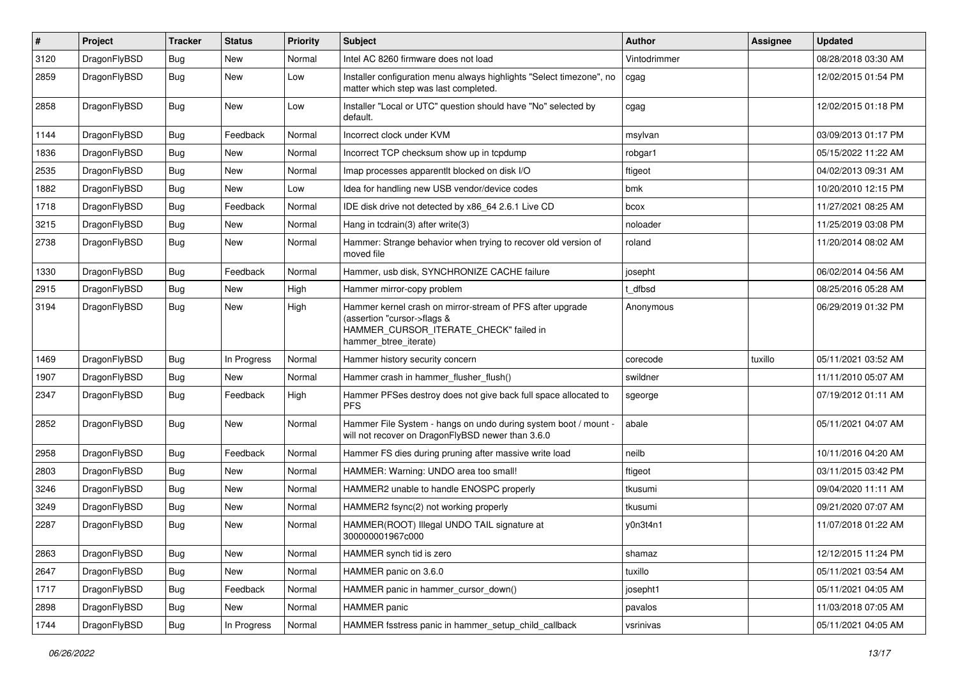| $\sharp$ | Project      | <b>Tracker</b> | <b>Status</b> | <b>Priority</b> | Subject                                                                                                                                                     | <b>Author</b> | Assignee | <b>Updated</b>      |
|----------|--------------|----------------|---------------|-----------------|-------------------------------------------------------------------------------------------------------------------------------------------------------------|---------------|----------|---------------------|
| 3120     | DragonFlyBSD | Bug            | <b>New</b>    | Normal          | Intel AC 8260 firmware does not load                                                                                                                        | Vintodrimmer  |          | 08/28/2018 03:30 AM |
| 2859     | DragonFlyBSD | <b>Bug</b>     | New           | Low             | Installer configuration menu always highlights "Select timezone", no<br>matter which step was last completed.                                               | cgag          |          | 12/02/2015 01:54 PM |
| 2858     | DragonFlyBSD | Bug            | <b>New</b>    | Low             | Installer "Local or UTC" question should have "No" selected by<br>default.                                                                                  | cgag          |          | 12/02/2015 01:18 PM |
| 1144     | DragonFlyBSD | Bug            | Feedback      | Normal          | Incorrect clock under KVM                                                                                                                                   | msylvan       |          | 03/09/2013 01:17 PM |
| 1836     | DragonFlyBSD | Bug            | <b>New</b>    | Normal          | Incorrect TCP checksum show up in tcpdump                                                                                                                   | robgar1       |          | 05/15/2022 11:22 AM |
| 2535     | DragonFlyBSD | <b>Bug</b>     | <b>New</b>    | Normal          | Imap processes apparentlt blocked on disk I/O                                                                                                               | ftigeot       |          | 04/02/2013 09:31 AM |
| 1882     | DragonFlyBSD | Bug            | <b>New</b>    | Low             | Idea for handling new USB vendor/device codes                                                                                                               | bmk           |          | 10/20/2010 12:15 PM |
| 1718     | DragonFlyBSD | Bug            | Feedback      | Normal          | IDE disk drive not detected by x86_64 2.6.1 Live CD                                                                                                         | bcox          |          | 11/27/2021 08:25 AM |
| 3215     | DragonFlyBSD | <b>Bug</b>     | <b>New</b>    | Normal          | Hang in tcdrain(3) after write(3)                                                                                                                           | noloader      |          | 11/25/2019 03:08 PM |
| 2738     | DragonFlyBSD | Bug            | <b>New</b>    | Normal          | Hammer: Strange behavior when trying to recover old version of<br>moved file                                                                                | roland        |          | 11/20/2014 08:02 AM |
| 1330     | DragonFlyBSD | Bug            | Feedback      | Normal          | Hammer, usb disk, SYNCHRONIZE CACHE failure                                                                                                                 | josepht       |          | 06/02/2014 04:56 AM |
| 2915     | DragonFlyBSD | Bug            | <b>New</b>    | High            | Hammer mirror-copy problem                                                                                                                                  | t dfbsd       |          | 08/25/2016 05:28 AM |
| 3194     | DragonFlyBSD | Bug            | <b>New</b>    | High            | Hammer kernel crash on mirror-stream of PFS after upgrade<br>(assertion "cursor->flags &<br>HAMMER_CURSOR_ITERATE_CHECK" failed in<br>hammer btree iterate) | Anonymous     |          | 06/29/2019 01:32 PM |
| 1469     | DragonFlyBSD | Bug            | In Progress   | Normal          | Hammer history security concern                                                                                                                             | corecode      | tuxillo  | 05/11/2021 03:52 AM |
| 1907     | DragonFlyBSD | Bug            | <b>New</b>    | Normal          | Hammer crash in hammer_flusher_flush()                                                                                                                      | swildner      |          | 11/11/2010 05:07 AM |
| 2347     | DragonFlyBSD | <b>Bug</b>     | Feedback      | High            | Hammer PFSes destroy does not give back full space allocated to<br><b>PFS</b>                                                                               | sgeorge       |          | 07/19/2012 01:11 AM |
| 2852     | DragonFlyBSD | <b>Bug</b>     | New           | Normal          | Hammer File System - hangs on undo during system boot / mount -<br>will not recover on DragonFlyBSD newer than 3.6.0                                        | abale         |          | 05/11/2021 04:07 AM |
| 2958     | DragonFlyBSD | Bug            | Feedback      | Normal          | Hammer FS dies during pruning after massive write load                                                                                                      | neilb         |          | 10/11/2016 04:20 AM |
| 2803     | DragonFlyBSD | Bug            | <b>New</b>    | Normal          | HAMMER: Warning: UNDO area too small!                                                                                                                       | ftigeot       |          | 03/11/2015 03:42 PM |
| 3246     | DragonFlyBSD | Bug            | <b>New</b>    | Normal          | HAMMER2 unable to handle ENOSPC properly                                                                                                                    | tkusumi       |          | 09/04/2020 11:11 AM |
| 3249     | DragonFlyBSD | Bug            | <b>New</b>    | Normal          | HAMMER2 fsync(2) not working properly                                                                                                                       | tkusumi       |          | 09/21/2020 07:07 AM |
| 2287     | DragonFlyBSD | Bug            | <b>New</b>    | Normal          | HAMMER(ROOT) Illegal UNDO TAIL signature at<br>300000001967c000                                                                                             | y0n3t4n1      |          | 11/07/2018 01:22 AM |
| 2863     | DragonFlyBSD | <b>Bug</b>     | New           | Normal          | HAMMER synch tid is zero                                                                                                                                    | shamaz        |          | 12/12/2015 11:24 PM |
| 2647     | DragonFlyBSD | Bug            | New           | Normal          | HAMMER panic on 3.6.0                                                                                                                                       | tuxillo       |          | 05/11/2021 03:54 AM |
| 1717     | DragonFlyBSD | <b>Bug</b>     | Feedback      | Normal          | HAMMER panic in hammer cursor down()                                                                                                                        | josepht1      |          | 05/11/2021 04:05 AM |
| 2898     | DragonFlyBSD | <b>Bug</b>     | New           | Normal          | HAMMER panic                                                                                                                                                | pavalos       |          | 11/03/2018 07:05 AM |
| 1744     | DragonFlyBSD | <b>Bug</b>     | In Progress   | Normal          | HAMMER fsstress panic in hammer setup child callback                                                                                                        | vsrinivas     |          | 05/11/2021 04:05 AM |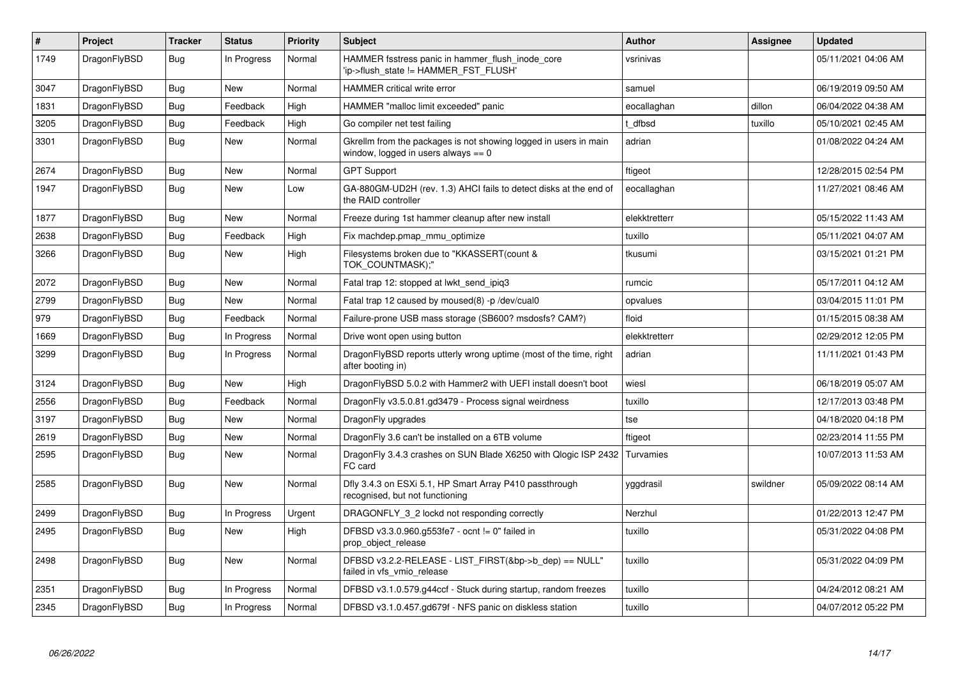| $\vert$ # | Project      | <b>Tracker</b> | <b>Status</b> | <b>Priority</b> | <b>Subject</b>                                                                                            | <b>Author</b> | Assignee | <b>Updated</b>      |
|-----------|--------------|----------------|---------------|-----------------|-----------------------------------------------------------------------------------------------------------|---------------|----------|---------------------|
| 1749      | DragonFlyBSD | Bug            | In Progress   | Normal          | HAMMER fsstress panic in hammer flush inode core<br>'ip->flush_state != HAMMER_FST_FLUSH'                 | vsrinivas     |          | 05/11/2021 04:06 AM |
| 3047      | DragonFlyBSD | Bug            | New           | Normal          | <b>HAMMER</b> critical write error                                                                        | samuel        |          | 06/19/2019 09:50 AM |
| 1831      | DragonFlyBSD | <b>Bug</b>     | Feedback      | High            | HAMMER "malloc limit exceeded" panic                                                                      | eocallaghan   | dillon   | 06/04/2022 04:38 AM |
| 3205      | DragonFlyBSD | <b>Bug</b>     | Feedback      | High            | Go compiler net test failing                                                                              | t dfbsd       | tuxillo  | 05/10/2021 02:45 AM |
| 3301      | DragonFlyBSD | <b>Bug</b>     | <b>New</b>    | Normal          | Gkrellm from the packages is not showing logged in users in main<br>window, logged in users always $== 0$ | adrian        |          | 01/08/2022 04:24 AM |
| 2674      | DragonFlyBSD | <b>Bug</b>     | New           | Normal          | <b>GPT Support</b>                                                                                        | ftigeot       |          | 12/28/2015 02:54 PM |
| 1947      | DragonFlyBSD | <b>Bug</b>     | <b>New</b>    | Low             | GA-880GM-UD2H (rev. 1.3) AHCI fails to detect disks at the end of<br>the RAID controller                  | eocallaghan   |          | 11/27/2021 08:46 AM |
| 1877      | DragonFlyBSD | <b>Bug</b>     | New           | Normal          | Freeze during 1st hammer cleanup after new install                                                        | elekktretterr |          | 05/15/2022 11:43 AM |
| 2638      | DragonFlyBSD | <b>Bug</b>     | Feedback      | High            | Fix machdep.pmap mmu optimize                                                                             | tuxillo       |          | 05/11/2021 04:07 AM |
| 3266      | DragonFlyBSD | <b>Bug</b>     | New           | High            | Filesystems broken due to "KKASSERT(count &<br>TOK COUNTMASK);"                                           | tkusumi       |          | 03/15/2021 01:21 PM |
| 2072      | DragonFlyBSD | Bug            | <b>New</b>    | Normal          | Fatal trap 12: stopped at lwkt send ipig3                                                                 | rumcic        |          | 05/17/2011 04:12 AM |
| 2799      | DragonFlyBSD | <b>Bug</b>     | <b>New</b>    | Normal          | Fatal trap 12 caused by moused(8) -p/dev/cual0                                                            | opvalues      |          | 03/04/2015 11:01 PM |
| 979       | DragonFlyBSD | <b>Bug</b>     | Feedback      | Normal          | Failure-prone USB mass storage (SB600? msdosfs? CAM?)                                                     | floid         |          | 01/15/2015 08:38 AM |
| 1669      | DragonFlyBSD | <b>Bug</b>     | In Progress   | Normal          | Drive wont open using button                                                                              | elekktretterr |          | 02/29/2012 12:05 PM |
| 3299      | DragonFlyBSD | <b>Bug</b>     | In Progress   | Normal          | DragonFlyBSD reports utterly wrong uptime (most of the time, right<br>after booting in)                   | adrian        |          | 11/11/2021 01:43 PM |
| 3124      | DragonFlyBSD | <b>Bug</b>     | <b>New</b>    | High            | DragonFlyBSD 5.0.2 with Hammer2 with UEFI install doesn't boot                                            | wiesl         |          | 06/18/2019 05:07 AM |
| 2556      | DragonFlyBSD | Bug            | Feedback      | Normal          | DragonFly v3.5.0.81.gd3479 - Process signal weirdness                                                     | tuxillo       |          | 12/17/2013 03:48 PM |
| 3197      | DragonFlyBSD | <b>Bug</b>     | <b>New</b>    | Normal          | DragonFly upgrades                                                                                        | tse           |          | 04/18/2020 04:18 PM |
| 2619      | DragonFlyBSD | <b>Bug</b>     | New           | Normal          | DragonFly 3.6 can't be installed on a 6TB volume                                                          | ftigeot       |          | 02/23/2014 11:55 PM |
| 2595      | DragonFlyBSD | <b>Bug</b>     | New           | Normal          | DragonFly 3.4.3 crashes on SUN Blade X6250 with Qlogic ISP 2432<br>FC card                                | Turvamies     |          | 10/07/2013 11:53 AM |
| 2585      | DragonFlyBSD | <b>Bug</b>     | New           | Normal          | Dfly 3.4.3 on ESXi 5.1, HP Smart Array P410 passthrough<br>recognised, but not functioning                | yggdrasil     | swildner | 05/09/2022 08:14 AM |
| 2499      | DragonFlyBSD | <b>Bug</b>     | In Progress   | Urgent          | DRAGONFLY_3_2 lockd not responding correctly                                                              | Nerzhul       |          | 01/22/2013 12:47 PM |
| 2495      | DragonFlyBSD | <b>Bug</b>     | <b>New</b>    | High            | DFBSD v3.3.0.960.g553fe7 - ocnt != 0" failed in<br>prop_object_release                                    | tuxillo       |          | 05/31/2022 04:08 PM |
| 2498      | DragonFlyBSD | <b>Bug</b>     | New           | Normal          | DFBSD v3.2.2-RELEASE - LIST FIRST(&bp->b dep) == NULL"<br>failed in vfs_vmio_release                      | tuxillo       |          | 05/31/2022 04:09 PM |
| 2351      | DragonFlyBSD | Bug            | In Progress   | Normal          | DFBSD v3.1.0.579.g44ccf - Stuck during startup, random freezes                                            | tuxillo       |          | 04/24/2012 08:21 AM |
| 2345      | DragonFlyBSD | <b>Bug</b>     | In Progress   | Normal          | DFBSD v3.1.0.457.gd679f - NFS panic on diskless station                                                   | tuxillo       |          | 04/07/2012 05:22 PM |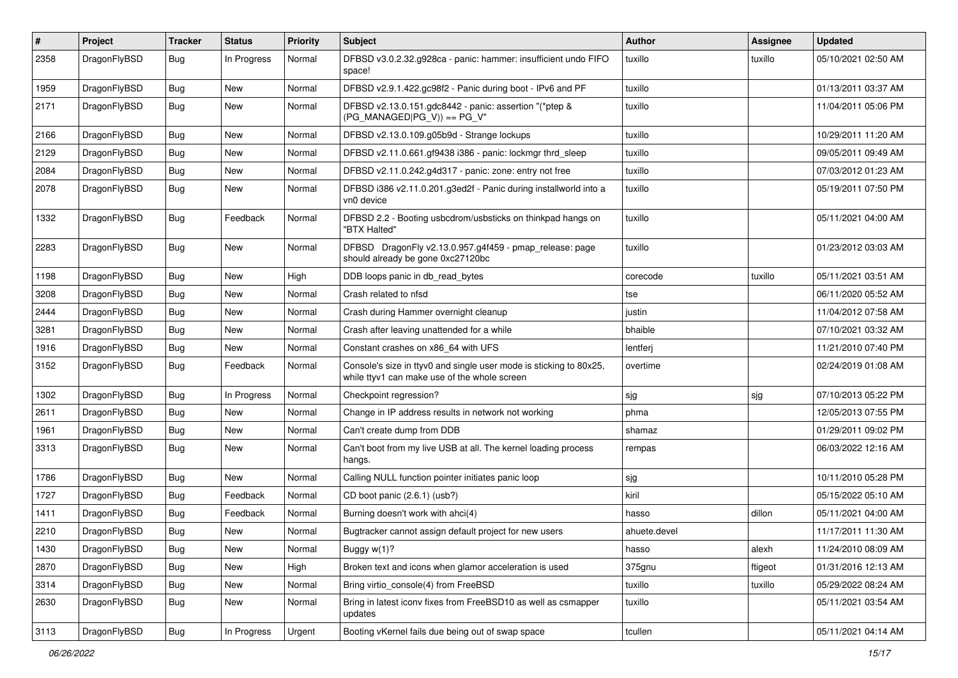| #    | Project      | <b>Tracker</b> | <b>Status</b> | <b>Priority</b> | <b>Subject</b>                                                                                                     | <b>Author</b> | Assignee | <b>Updated</b>      |
|------|--------------|----------------|---------------|-----------------|--------------------------------------------------------------------------------------------------------------------|---------------|----------|---------------------|
| 2358 | DragonFlyBSD | Bug            | In Progress   | Normal          | DFBSD v3.0.2.32.g928ca - panic: hammer: insufficient undo FIFO<br>space!                                           | tuxillo       | tuxillo  | 05/10/2021 02:50 AM |
| 1959 | DragonFlyBSD | Bug            | <b>New</b>    | Normal          | DFBSD v2.9.1.422.gc98f2 - Panic during boot - IPv6 and PF                                                          | tuxillo       |          | 01/13/2011 03:37 AM |
| 2171 | DragonFlyBSD | Bug            | New           | Normal          | DFBSD v2.13.0.151.gdc8442 - panic: assertion "(*ptep &<br>$(PG_MANAGED PG_V)) == PG_V"$                            | tuxillo       |          | 11/04/2011 05:06 PM |
| 2166 | DragonFlyBSD | Bug            | <b>New</b>    | Normal          | DFBSD v2.13.0.109.g05b9d - Strange lockups                                                                         | tuxillo       |          | 10/29/2011 11:20 AM |
| 2129 | DragonFlyBSD | <b>Bug</b>     | New           | Normal          | DFBSD v2.11.0.661.gf9438 i386 - panic: lockmgr thrd sleep                                                          | tuxillo       |          | 09/05/2011 09:49 AM |
| 2084 | DragonFlyBSD | <b>Bug</b>     | New           | Normal          | DFBSD v2.11.0.242.g4d317 - panic: zone: entry not free                                                             | tuxillo       |          | 07/03/2012 01:23 AM |
| 2078 | DragonFlyBSD | <b>Bug</b>     | New           | Normal          | DFBSD i386 v2.11.0.201.g3ed2f - Panic during installworld into a<br>vn0 device                                     | tuxillo       |          | 05/19/2011 07:50 PM |
| 1332 | DragonFlyBSD | Bug            | Feedback      | Normal          | DFBSD 2.2 - Booting usbcdrom/usbsticks on thinkpad hangs on<br>"BTX Halted"                                        | tuxillo       |          | 05/11/2021 04:00 AM |
| 2283 | DragonFlyBSD | Bug            | New           | Normal          | DFBSD DragonFly v2.13.0.957.g4f459 - pmap_release: page<br>should already be gone 0xc27120bc                       | tuxillo       |          | 01/23/2012 03:03 AM |
| 1198 | DragonFlyBSD | Bug            | New           | High            | DDB loops panic in db read bytes                                                                                   | corecode      | tuxillo  | 05/11/2021 03:51 AM |
| 3208 | DragonFlyBSD | Bug            | <b>New</b>    | Normal          | Crash related to nfsd                                                                                              | tse           |          | 06/11/2020 05:52 AM |
| 2444 | DragonFlyBSD | <b>Bug</b>     | <b>New</b>    | Normal          | Crash during Hammer overnight cleanup                                                                              | justin        |          | 11/04/2012 07:58 AM |
| 3281 | DragonFlyBSD | <b>Bug</b>     | <b>New</b>    | Normal          | Crash after leaving unattended for a while                                                                         | bhaible       |          | 07/10/2021 03:32 AM |
| 1916 | DragonFlyBSD | Bug            | New           | Normal          | Constant crashes on x86_64 with UFS                                                                                | lentferj      |          | 11/21/2010 07:40 PM |
| 3152 | DragonFlyBSD | Bug            | Feedback      | Normal          | Console's size in ttyv0 and single user mode is sticking to 80x25,<br>while ttyv1 can make use of the whole screen | overtime      |          | 02/24/2019 01:08 AM |
| 1302 | DragonFlyBSD | <b>Bug</b>     | In Progress   | Normal          | Checkpoint regression?                                                                                             | sjg           | sjg      | 07/10/2013 05:22 PM |
| 2611 | DragonFlyBSD | Bug            | New           | Normal          | Change in IP address results in network not working                                                                | phma          |          | 12/05/2013 07:55 PM |
| 1961 | DragonFlyBSD | <b>Bug</b>     | New           | Normal          | Can't create dump from DDB                                                                                         | shamaz        |          | 01/29/2011 09:02 PM |
| 3313 | DragonFlyBSD | Bug            | New           | Normal          | Can't boot from my live USB at all. The kernel loading process<br>hangs.                                           | rempas        |          | 06/03/2022 12:16 AM |
| 1786 | DragonFlyBSD | <b>Bug</b>     | New           | Normal          | Calling NULL function pointer initiates panic loop                                                                 | sjg           |          | 10/11/2010 05:28 PM |
| 1727 | DragonFlyBSD | <b>Bug</b>     | Feedback      | Normal          | CD boot panic (2.6.1) (usb?)                                                                                       | kiril         |          | 05/15/2022 05:10 AM |
| 1411 | DragonFlyBSD | Bug            | Feedback      | Normal          | Burning doesn't work with ahci(4)                                                                                  | hasso         | dillon   | 05/11/2021 04:00 AM |
| 2210 | DragonFlyBSD | <b>Bug</b>     | New           | Normal          | Bugtracker cannot assign default project for new users                                                             | ahuete.devel  |          | 11/17/2011 11:30 AM |
| 1430 | DragonFlyBSD | <b>Bug</b>     | New           | Normal          | Buggy w(1)?                                                                                                        | hasso         | alexh    | 11/24/2010 08:09 AM |
| 2870 | DragonFlyBSD | <b>Bug</b>     | New           | High            | Broken text and icons when glamor acceleration is used                                                             | 375gnu        | ftigeot  | 01/31/2016 12:13 AM |
| 3314 | DragonFlyBSD | Bug            | New           | Normal          | Bring virtio_console(4) from FreeBSD                                                                               | tuxillo       | tuxillo  | 05/29/2022 08:24 AM |
| 2630 | DragonFlyBSD | <b>Bug</b>     | New           | Normal          | Bring in latest iconv fixes from FreeBSD10 as well as csmapper<br>updates                                          | tuxillo       |          | 05/11/2021 03:54 AM |
| 3113 | DragonFlyBSD | Bug            | In Progress   | Urgent          | Booting vKernel fails due being out of swap space                                                                  | tcullen       |          | 05/11/2021 04:14 AM |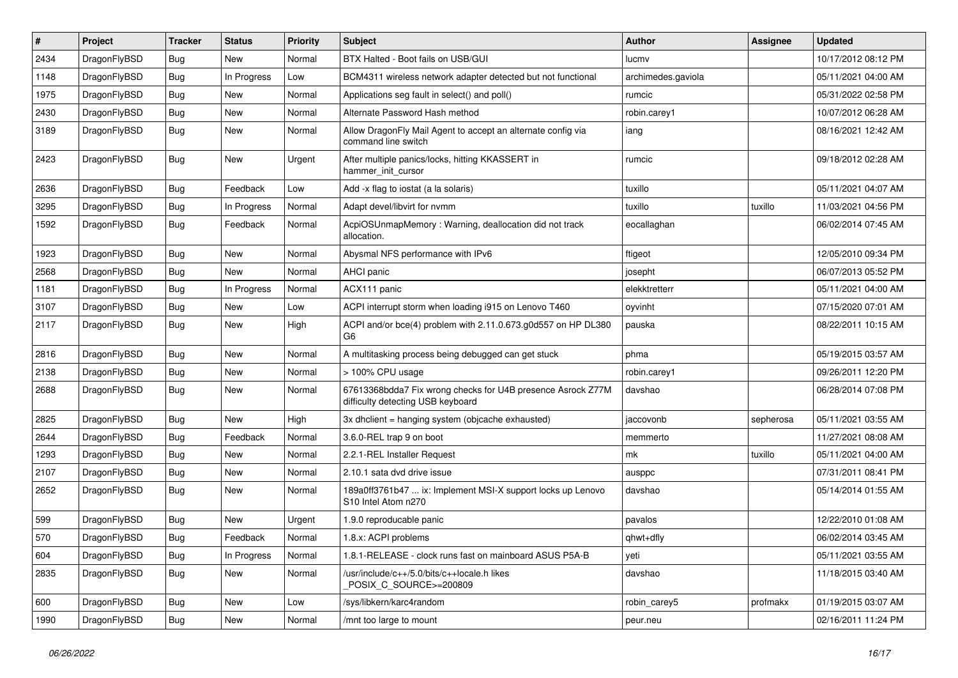| $\vert$ # | Project      | <b>Tracker</b> | <b>Status</b> | <b>Priority</b> | Subject                                                                                          | <b>Author</b>      | <b>Assignee</b> | <b>Updated</b>      |
|-----------|--------------|----------------|---------------|-----------------|--------------------------------------------------------------------------------------------------|--------------------|-----------------|---------------------|
| 2434      | DragonFlyBSD | <b>Bug</b>     | New           | Normal          | BTX Halted - Boot fails on USB/GUI                                                               | lucmv              |                 | 10/17/2012 08:12 PM |
| 1148      | DragonFlyBSD | <b>Bug</b>     | In Progress   | Low             | BCM4311 wireless network adapter detected but not functional                                     | archimedes.gaviola |                 | 05/11/2021 04:00 AM |
| 1975      | DragonFlyBSD | <b>Bug</b>     | New           | Normal          | Applications seg fault in select() and poll()                                                    | rumcic             |                 | 05/31/2022 02:58 PM |
| 2430      | DragonFlyBSD | <b>Bug</b>     | New           | Normal          | Alternate Password Hash method                                                                   | robin.carey1       |                 | 10/07/2012 06:28 AM |
| 3189      | DragonFlyBSD | Bug            | New           | Normal          | Allow DragonFly Mail Agent to accept an alternate config via<br>command line switch              | iang               |                 | 08/16/2021 12:42 AM |
| 2423      | DragonFlyBSD | Bug            | <b>New</b>    | Urgent          | After multiple panics/locks, hitting KKASSERT in<br>hammer init cursor                           | rumcic             |                 | 09/18/2012 02:28 AM |
| 2636      | DragonFlyBSD | <b>Bug</b>     | Feedback      | Low             | Add -x flag to iostat (a la solaris)                                                             | tuxillo            |                 | 05/11/2021 04:07 AM |
| 3295      | DragonFlyBSD | <b>Bug</b>     | In Progress   | Normal          | Adapt devel/libvirt for nvmm                                                                     | tuxillo            | tuxillo         | 11/03/2021 04:56 PM |
| 1592      | DragonFlyBSD | Bug            | Feedback      | Normal          | AcpiOSUnmapMemory: Warning, deallocation did not track<br>allocation.                            | eocallaghan        |                 | 06/02/2014 07:45 AM |
| 1923      | DragonFlyBSD | <b>Bug</b>     | <b>New</b>    | Normal          | Abysmal NFS performance with IPv6                                                                | ftigeot            |                 | 12/05/2010 09:34 PM |
| 2568      | DragonFlyBSD | <b>Bug</b>     | New           | Normal          | AHCI panic                                                                                       | josepht            |                 | 06/07/2013 05:52 PM |
| 1181      | DragonFlyBSD | <b>Bug</b>     | In Progress   | Normal          | ACX111 panic                                                                                     | elekktretterr      |                 | 05/11/2021 04:00 AM |
| 3107      | DragonFlyBSD | <b>Bug</b>     | New           | Low             | ACPI interrupt storm when loading i915 on Lenovo T460                                            | oyvinht            |                 | 07/15/2020 07:01 AM |
| 2117      | DragonFlyBSD | Bug            | New           | High            | ACPI and/or bce(4) problem with 2.11.0.673.g0d557 on HP DL380<br>G6                              | pauska             |                 | 08/22/2011 10:15 AM |
| 2816      | DragonFlyBSD | <b>Bug</b>     | New           | Normal          | A multitasking process being debugged can get stuck                                              | phma               |                 | 05/19/2015 03:57 AM |
| 2138      | DragonFlyBSD | <b>Bug</b>     | New           | Normal          | > 100% CPU usage                                                                                 | robin.carey1       |                 | 09/26/2011 12:20 PM |
| 2688      | DragonFlyBSD | <b>Bug</b>     | New           | Normal          | 67613368bdda7 Fix wrong checks for U4B presence Asrock Z77M<br>difficulty detecting USB keyboard | davshao            |                 | 06/28/2014 07:08 PM |
| 2825      | DragonFlyBSD | Bug            | New           | High            | 3x dhclient = hanging system (objcache exhausted)                                                | jaccovonb          | sepherosa       | 05/11/2021 03:55 AM |
| 2644      | DragonFlyBSD | <b>Bug</b>     | Feedback      | Normal          | 3.6.0-REL trap 9 on boot                                                                         | memmerto           |                 | 11/27/2021 08:08 AM |
| 1293      | DragonFlyBSD | <b>Bug</b>     | New           | Normal          | 2.2.1-REL Installer Request                                                                      | mk                 | tuxillo         | 05/11/2021 04:00 AM |
| 2107      | DragonFlyBSD | <b>Bug</b>     | <b>New</b>    | Normal          | 2.10.1 sata dvd drive issue                                                                      | ausppc             |                 | 07/31/2011 08:41 PM |
| 2652      | DragonFlyBSD | Bug            | New           | Normal          | 189a0ff3761b47  ix: Implement MSI-X support locks up Lenovo<br>S10 Intel Atom n270               | davshao            |                 | 05/14/2014 01:55 AM |
| 599       | DragonFlyBSD | <b>Bug</b>     | <b>New</b>    | Urgent          | 1.9.0 reproducable panic                                                                         | pavalos            |                 | 12/22/2010 01:08 AM |
| 570       | DragonFlyBSD | Bug            | Feedback      | Normal          | 1.8.x: ACPI problems                                                                             | qhwt+dfly          |                 | 06/02/2014 03:45 AM |
| 604       | DragonFlyBSD | Bug            | In Progress   | Normal          | 1.8.1-RELEASE - clock runs fast on mainboard ASUS P5A-B                                          | yeti               |                 | 05/11/2021 03:55 AM |
| 2835      | DragonFlyBSD | Bug            | New           | Normal          | /usr/include/c++/5.0/bits/c++locale.h likes<br>POSIX_C_SOURCE>=200809                            | davshao            |                 | 11/18/2015 03:40 AM |
| 600       | DragonFlyBSD | <b>Bug</b>     | New           | Low             | /sys/libkern/karc4random                                                                         | robin carey5       | profmakx        | 01/19/2015 03:07 AM |
| 1990      | DragonFlyBSD | <b>Bug</b>     | New           | Normal          | /mnt too large to mount                                                                          | peur.neu           |                 | 02/16/2011 11:24 PM |